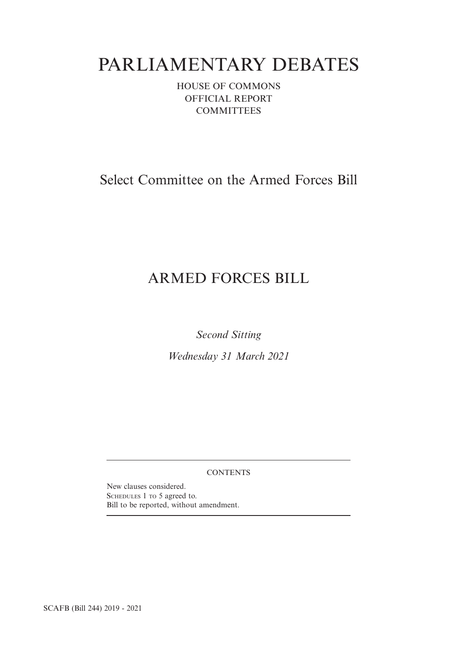# PARLIAMENTARY DEBATES

HOUSE OF COMMONS OFFICIAL REPORT **COMMITTEES** 

# Select Committee on the Armed Forces Bill

# ARMED FORCES BILL

*Second Sitting*

*Wednesday 31 March 2021*

# **CONTENTS**

New clauses considered. SCHEDULES 1 TO 5 agreed to. Bill to be reported, without amendment.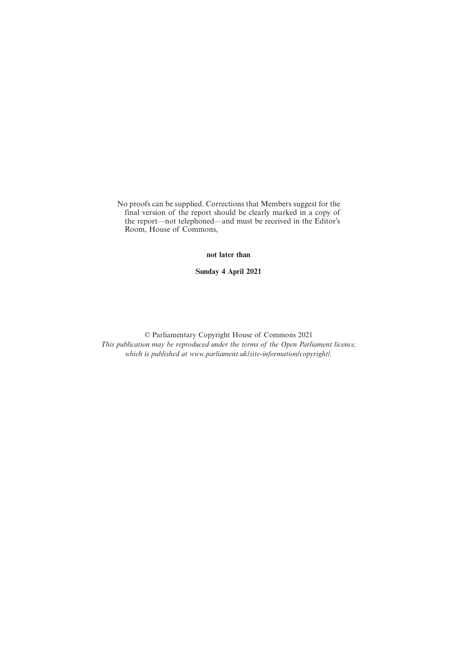No proofs can be supplied. Corrections that Members suggest for the final version of the report should be clearly marked in a copy of the report—not telephoned—and must be received in the Editor's Room, House of Commons,

**not later than**

**Sunday 4 April 2021**

© Parliamentary Copyright House of Commons 2021 *This publication may be reproduced under the terms of the Open Parliament licence, which is published at www.parliament.uk/site-information/copyright/.*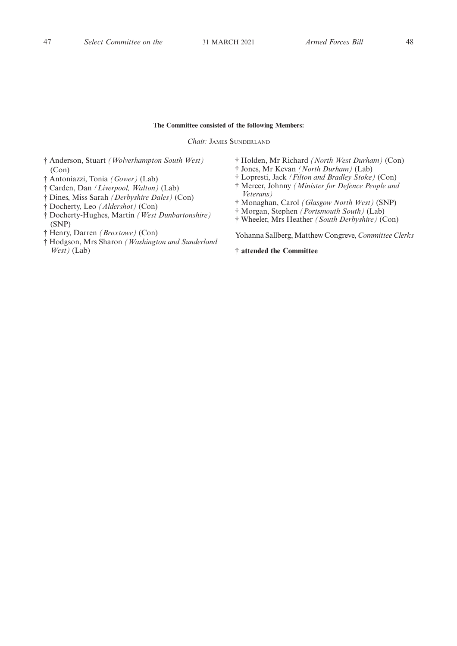### **The Committee consisted of the following Members:**

*Chair:* JAMES SUNDERLAND

- † Anderson, Stuart *(Wolverhampton South West)* (Con)
- † Antoniazzi, Tonia *(Gower)* (Lab)
- † Carden, Dan *(Liverpool, Walton)* (Lab)
- † Dines, Miss Sarah *(Derbyshire Dales)* (Con)
- † Docherty, Leo *(Aldershot)* (Con)
- † Docherty-Hughes, Martin *(West Dunbartonshire)* (SNP)
- † Henry, Darren *(Broxtowe)* (Con)
- † Hodgson, Mrs Sharon *(Washington and Sunderland West)* (Lab)
- † Holden, Mr Richard *(North West Durham)* (Con)
- † Jones, Mr Kevan *(North Durham)* (Lab)
- † Lopresti, Jack *(Filton and Bradley Stoke)* (Con)
- † Mercer, Johnny *(Minister for Defence People and Veterans)*
- † Monaghan, Carol *(Glasgow North West)* (SNP)
- † Morgan, Stephen *(Portsmouth South)* (Lab)
- † Wheeler, Mrs Heather *(South Derbyshire)* (Con)

Yohanna Sallberg, Matthew Congreve, *Committee Clerks*

**† attended the Committee**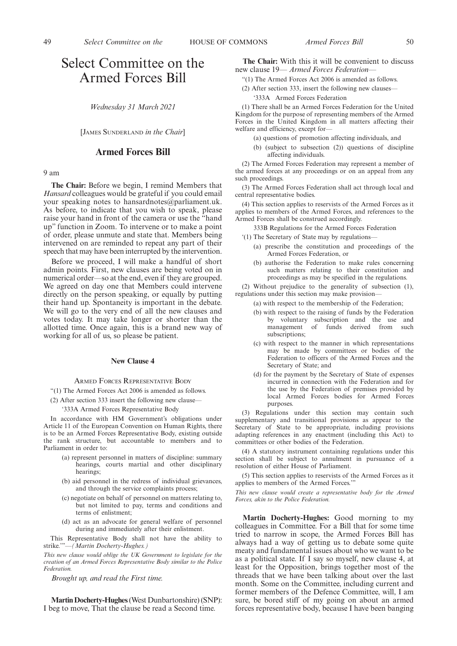# Select Committee on the Armed Forces Bill

*Wednesday 31 March 2021*

[JAMES SUNDERLAND *in the Chair*]

## **Armed Forces Bill**

9 am

**The Chair:** Before we begin, I remind Members that *Hansard* colleagues would be grateful if you could email your speaking notes to hansardnotes@parliament.uk. As before, to indicate that you wish to speak, please raise your hand in front of the camera or use the "hand up" function in Zoom. To intervene or to make a point of order, please unmute and state that. Members being intervened on are reminded to repeat any part of their speech that may have been interrupted by the intervention.

Before we proceed, I will make a handful of short admin points. First, new clauses are being voted on in numerical order—so at the end, even if they are grouped. We agreed on day one that Members could intervene directly on the person speaking, or equally by putting their hand up. Spontaneity is important in the debate. We will go to the very end of all the new clauses and votes today. It may take longer or shorter than the allotted time. Once again, this is a brand new way of working for all of us, so please be patient.

#### **New Clause 4**

ARMED FORCES REPRESENTATIVE BODY

"(1) The Armed Forces Act 2006 is amended as follows.

(2) After section 333 insert the following new clause—

'333A Armed Forces Representative Body

In accordance with HM Government's obligations under Article 11 of the European Convention on Human Rights, there is to be an Armed Forces Representative Body, existing outside the rank structure, but accountable to members and to Parliament in order to:

- (a) represent personnel in matters of discipline: summary hearings, courts martial and other disciplinary hearings;
- (b) aid personnel in the redress of individual grievances, and through the service complaints process;
- (c) negotiate on behalf of personnel on matters relating to, but not limited to pay, terms and conditions and terms of enlistment;
- (d) act as an advocate for general welfare of personnel during and immediately after their enlistment.

This Representative Body shall not have the ability to strike.'"—*(Martin Docherty-Hughes.)*

*This new clause would oblige the UK Government to legislate for the creation of an Armed Forces Representative Body similar to the Police Federation.*

*Brought up, and read the First time.*

**Martin Docherty-Hughes**(West Dunbartonshire) (SNP): I beg to move, That the clause be read a Second time.

**The Chair:** With this it will be convenient to discuss new clause 19— *Armed Forces Federation—*

- "(1) The Armed Forces Act 2006 is amended as follows.
- (2) After section 333, insert the following new clauses—
	- '333A Armed Forces Federation

(1) There shall be an Armed Forces Federation for the United Kingdom for the purpose of representing members of the Armed Forces in the United Kingdom in all matters affecting their welfare and efficiency, except for—

- (a) questions of promotion affecting individuals, and
- (b) (subject to subsection (2)) questions of discipline affecting individuals.

(2) The Armed Forces Federation may represent a member of the armed forces at any proceedings or on an appeal from any such proceedings.

(3) The Armed Forces Federation shall act through local and central representative bodies.

(4) This section applies to reservists of the Armed Forces as it applies to members of the Armed Forces, and references to the Armed Forces shall be construed accordingly.

333B Regulations for the Armed Forces Federation

'(1) The Secretary of State may by regulations—

- (a) prescribe the constitution and proceedings of the Armed Forces Federation, or
- (b) authorise the Federation to make rules concerning such matters relating to their constitution and proceedings as may be specified in the regulations.

(2) Without prejudice to the generality of subsection (1), regulations under this section may make provision—

- (a) with respect to the membership of the Federation;
- (b) with respect to the raising of funds by the Federation by voluntary subscription and the use and management of funds derived from such subscriptions;
- (c) with respect to the manner in which representations may be made by committees or bodies of the Federation to officers of the Armed Forces and the Secretary of State; and
- (d) for the payment by the Secretary of State of expenses incurred in connection with the Federation and for the use by the Federation of premises provided by local Armed Forces bodies for Armed Forces purposes.

(3) Regulations under this section may contain such supplementary and transitional provisions as appear to the Secretary of State to be appropriate, including provisions adapting references in any enactment (including this Act) to committees or other bodies of the Federation.

(4) A statutory instrument containing regulations under this section shall be subject to annulment in pursuance of a resolution of either House of Parliament.

(5) This section applies to reservists of the Armed Forces as it applies to members of the Armed Forces.'"

*This new clause would create a representative body for the Armed Forces, akin to the Police Federation.*

**Martin Docherty-Hughes:** Good morning to my colleagues in Committee. For a Bill that for some time tried to narrow in scope, the Armed Forces Bill has always had a way of getting us to debate some quite meaty and fundamental issues about who we want to be as a political state. If I say so myself, new clause 4, at least for the Opposition, brings together most of the threads that we have been talking about over the last month. Some on the Committee, including current and former members of the Defence Committee, will, I am sure, be bored stiff of my going on about an armed forces representative body, because I have been banging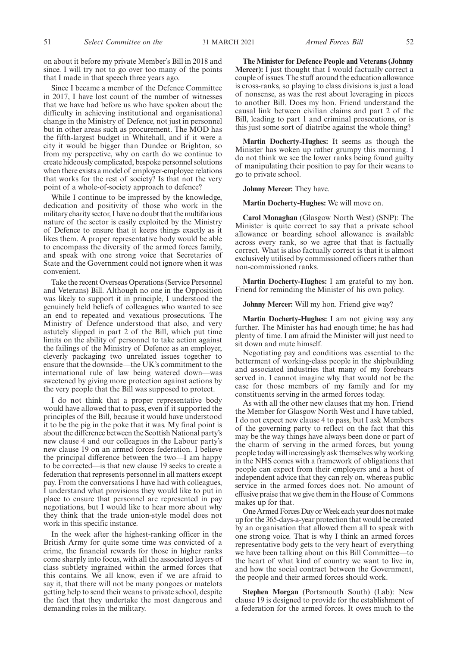on about it before my private Member's Bill in 2018 and since. I will try not to go over too many of the points that I made in that speech three years ago.

Since I became a member of the Defence Committee in 2017, I have lost count of the number of witnesses that we have had before us who have spoken about the difficulty in achieving institutional and organisational change in the Ministry of Defence, not just in personnel but in other areas such as procurement. The MOD has the fifth-largest budget in Whitehall, and if it were a city it would be bigger than Dundee or Brighton, so from my perspective, why on earth do we continue to create hideously complicated, bespoke personnel solutions when there exists a model of employer-employee relations that works for the rest of society? Is that not the very point of a whole-of-society approach to defence?

While I continue to be impressed by the knowledge, dedication and positivity of those who work in the military charity sector, I have no doubt that the multifarious nature of the sector is easily exploited by the Ministry of Defence to ensure that it keeps things exactly as it likes them. A proper representative body would be able to encompass the diversity of the armed forces family, and speak with one strong voice that Secretaries of State and the Government could not ignore when it was convenient.

Take the recent Overseas Operations (Service Personnel and Veterans) Bill. Although no one in the Opposition was likely to support it in principle, I understood the genuinely held beliefs of colleagues who wanted to see an end to repeated and vexatious prosecutions. The Ministry of Defence understood that also, and very astutely slipped in part 2 of the Bill, which put time limits on the ability of personnel to take action against the failings of the Ministry of Defence as an employer, cleverly packaging two unrelated issues together to ensure that the downside—the UK's commitment to the international rule of law being watered down—was sweetened by giving more protection against actions by the very people that the Bill was supposed to protect.

I do not think that a proper representative body would have allowed that to pass, even if it supported the principles of the Bill, because it would have understood it to be the pig in the poke that it was. My final point is about the difference between the Scottish National party's new clause 4 and our colleagues in the Labour party's new clause 19 on an armed forces federation. I believe the principal difference between the two—I am happy to be corrected—is that new clause 19 seeks to create a federation that represents personnel in all matters except pay. From the conversations I have had with colleagues, I understand what provisions they would like to put in place to ensure that personnel are represented in pay negotiations, but I would like to hear more about why they think that the trade union-style model does not work in this specific instance.

In the week after the highest-ranking officer in the British Army for quite some time was convicted of a crime, the financial rewards for those in higher ranks come sharply into focus, with all the associated layers of class subtlety ingrained within the armed forces that this contains. We all know, even if we are afraid to say it, that there will not be many pongoes or matelots getting help to send their weans to private school, despite the fact that they undertake the most dangerous and demanding roles in the military.

**The Minister for Defence People and Veterans (Johnny Mercer):** I just thought that I would factually correct a couple of issues. The stuff around the education allowance is cross-ranks, so playing to class divisions is just a load of nonsense, as was the rest about leveraging in pieces to another Bill. Does my hon. Friend understand the causal link between civilian claims and part 2 of the Bill, leading to part 1 and criminal prosecutions, or is this just some sort of diatribe against the whole thing?

**Martin Docherty-Hughes:** It seems as though the Minister has woken up rather grumpy this morning. I do not think we see the lower ranks being found guilty of manipulating their position to pay for their weans to go to private school.

# **Johnny Mercer:** They have.

#### **Martin Docherty-Hughes:** We will move on.

**Carol Monaghan** (Glasgow North West) (SNP): The Minister is quite correct to say that a private school allowance or boarding school allowance is available across every rank, so we agree that that is factually correct. What is also factually correct is that it is almost exclusively utilised by commissioned officers rather than non-commissioned ranks.

**Martin Docherty-Hughes:** I am grateful to my hon. Friend for reminding the Minister of his own policy.

**Johnny Mercer:** Will my hon. Friend give way?

**Martin Docherty-Hughes:** I am not giving way any further. The Minister has had enough time; he has had plenty of time. I am afraid the Minister will just need to sit down and mute himself.

Negotiating pay and conditions was essential to the betterment of working-class people in the shipbuilding and associated industries that many of my forebears served in. I cannot imagine why that would not be the case for those members of my family and for my constituents serving in the armed forces today.

As with all the other new clauses that my hon. Friend the Member for Glasgow North West and I have tabled, I do not expect new clause 4 to pass, but I ask Members of the governing party to reflect on the fact that this may be the way things have always been done or part of the charm of serving in the armed forces, but young people today will increasingly ask themselves why working in the NHS comes with a framework of obligations that people can expect from their employers and a host of independent advice that they can rely on, whereas public service in the armed forces does not. No amount of effusive praise that we give them in the House of Commons makes up for that.

One Armed Forces Day or Week each year does not make up for the 365-days-a-year protection that would be created by an organisation that allowed them all to speak with one strong voice. That is why I think an armed forces representative body gets to the very heart of everything we have been talking about on this Bill Committee—to the heart of what kind of country we want to live in, and how the social contract between the Government, the people and their armed forces should work.

**Stephen Morgan** (Portsmouth South) (Lab): New clause 19 is designed to provide for the establishment of a federation for the armed forces. It owes much to the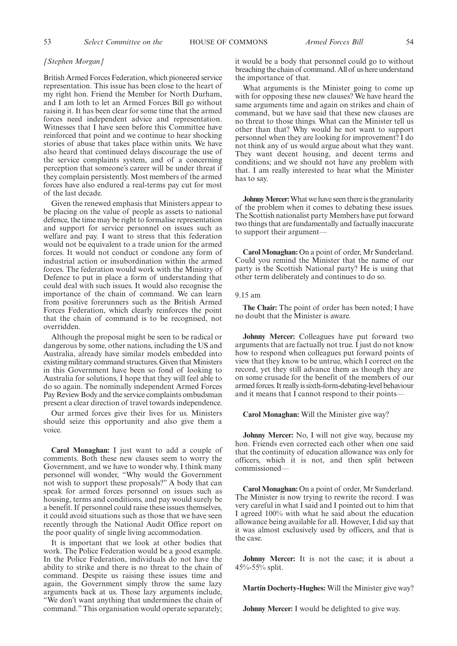#### *[Stephen Morgan]*

British Armed Forces Federation, which pioneered service representation. This issue has been close to the heart of my right hon. Friend the Member for North Durham, and I am loth to let an Armed Forces Bill go without raising it. It has been clear for some time that the armed forces need independent advice and representation. Witnesses that I have seen before this Committee have reinforced that point and we continue to hear shocking stories of abuse that takes place within units. We have also heard that continued delays discourage the use of the service complaints system, and of a concerning perception that someone's career will be under threat if they complain persistently. Most members of the armed forces have also endured a real-terms pay cut for most of the last decade.

Given the renewed emphasis that Ministers appear to be placing on the value of people as assets to national defence, the time may be right to formalise representation and support for service personnel on issues such as welfare and pay. I want to stress that this federation would not be equivalent to a trade union for the armed forces. It would not conduct or condone any form of industrial action or insubordination within the armed forces. The federation would work with the Ministry of Defence to put in place a form of understanding that could deal with such issues. It would also recognise the importance of the chain of command. We can learn from positive forerunners such as the British Armed Forces Federation, which clearly reinforces the point that the chain of command is to be recognised, not overridden.

Although the proposal might be seen to be radical or dangerous by some, other nations, including the US and Australia, already have similar models embedded into existing military command structures. Given that Ministers in this Government have been so fond of looking to Australia for solutions, I hope that they will feel able to do so again. The nominally independent Armed Forces Pay Review Body and the service complaints ombudsman present a clear direction of travel towards independence.

Our armed forces give their lives for us. Ministers should seize this opportunity and also give them a voice.

**Carol Monaghan:** I just want to add a couple of comments. Both these new clauses seem to worry the Government, and we have to wonder why. I think many personnel will wonder, "Why would the Government not wish to support these proposals?" A body that can speak for armed forces personnel on issues such as housing, terms and conditions, and pay would surely be a benefit. If personnel could raise these issues themselves, it could avoid situations such as those that we have seen recently through the National Audit Office report on the poor quality of single living accommodation.

It is important that we look at other bodies that work. The Police Federation would be a good example. In the Police Federation, individuals do not have the ability to strike and there is no threat to the chain of command. Despite us raising these issues time and again, the Government simply throw the same lazy arguments back at us. Those lazy arguments include, "We don't want anything that undermines the chain of command." This organisation would operate separately; it would be a body that personnel could go to without breaching the chain of command. All of us here understand the importance of that.

What arguments is the Minister going to come up with for opposing these new clauses? We have heard the same arguments time and again on strikes and chain of command, but we have said that these new clauses are no threat to those things. What can the Minister tell us other than that? Why would he not want to support personnel when they are looking for improvement? I do not think any of us would argue about what they want. They want decent housing, and decent terms and conditions; and we should not have any problem with that. I am really interested to hear what the Minister has to say.

**Johnny Mercer:**What we have seen there is the granularity of the problem when it comes to debating these issues. The Scottish nationalist party Members have put forward two things that are fundamentally and factually inaccurate to support their argument—

**Carol Monaghan:** On a point of order, Mr Sunderland. Could you remind the Minister that the name of our party is the Scottish National party? He is using that other term deliberately and continues to do so.

#### 9.15 am

**The Chair:** The point of order has been noted; I have no doubt that the Minister is aware.

**Johnny Mercer:** Colleagues have put forward two arguments that are factually not true. I just do not know how to respond when colleagues put forward points of view that they know to be untrue, which I correct on the record, yet they still advance them as though they are on some crusade for the benefit of the members of our armed forces. It really is sixth-form-debating-level behaviour and it means that I cannot respond to their points—

### **Carol Monaghan:** Will the Minister give way?

**Johnny Mercer:** No, I will not give way, because my hon. Friends even corrected each other when one said that the continuity of education allowance was only for officers, which it is not, and then split between commissioned—

**Carol Monaghan:** On a point of order, Mr Sunderland. The Minister is now trying to rewrite the record. I was very careful in what I said and I pointed out to him that I agreed 100% with what he said about the education allowance being available for all. However, I did say that it was almost exclusively used by officers, and that is the case.

**Johnny Mercer:** It is not the case; it is about a 45%-55% split.

**Martin Docherty-Hughes:** Will the Minister give way?

**Johnny Mercer:** I would be delighted to give way.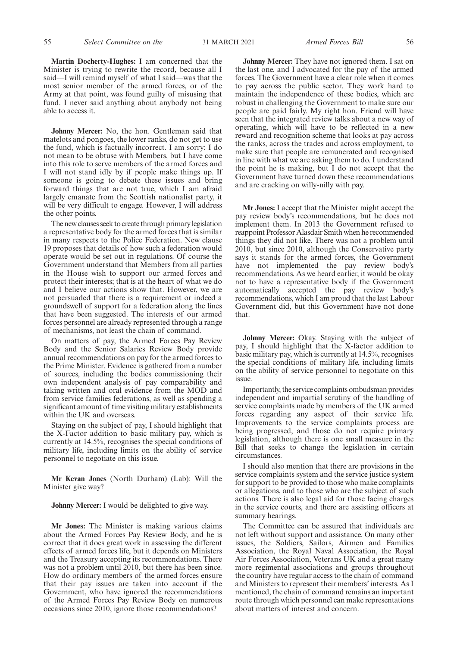**Martin Docherty-Hughes:** I am concerned that the Minister is trying to rewrite the record, because all I said—I will remind myself of what I said—was that the most senior member of the armed forces, or of the Army at that point, was found guilty of misusing that fund. I never said anything about anybody not being able to access it.

**Johnny Mercer:** No, the hon. Gentleman said that matelots and pongoes, the lower ranks, do not get to use the fund, which is factually incorrect. I am sorry; I do not mean to be obtuse with Members, but I have come into this role to serve members of the armed forces and I will not stand idly by if people make things up. If someone is going to debate these issues and bring forward things that are not true, which I am afraid largely emanate from the Scottish nationalist party, it will be very difficult to engage. However, I will address the other points.

The new clauses seek to create through primary legislation a representative body for the armed forces that is similar in many respects to the Police Federation. New clause 19 proposes that details of how such a federation would operate would be set out in regulations. Of course the Government understand that Members from all parties in the House wish to support our armed forces and protect their interests; that is at the heart of what we do and I believe our actions show that. However, we are not persuaded that there is a requirement or indeed a groundswell of support for a federation along the lines that have been suggested. The interests of our armed forces personnel are already represented through a range of mechanisms, not least the chain of command.

On matters of pay, the Armed Forces Pay Review Body and the Senior Salaries Review Body provide annual recommendations on pay for the armed forces to the Prime Minister. Evidence is gathered from a number of sources, including the bodies commissioning their own independent analysis of pay comparability and taking written and oral evidence from the MOD and from service families federations, as well as spending a significant amount of time visiting military establishments within the UK and overseas.

Staying on the subject of pay, I should highlight that the X-Factor addition to basic military pay, which is currently at 14.5%, recognises the special conditions of military life, including limits on the ability of service personnel to negotiate on this issue.

**Mr Kevan Jones** (North Durham) (Lab): Will the Minister give way?

**Johnny Mercer:** I would be delighted to give way.

**Mr Jones:** The Minister is making various claims about the Armed Forces Pay Review Body, and he is correct that it does great work in assessing the different effects of armed forces life, but it depends on Ministers and the Treasury accepting its recommendations. There was not a problem until 2010, but there has been since. How do ordinary members of the armed forces ensure that their pay issues are taken into account if the Government, who have ignored the recommendations of the Armed Forces Pay Review Body on numerous occasions since 2010, ignore those recommendations?

**Johnny Mercer:** They have not ignored them. I sat on the last one, and I advocated for the pay of the armed forces. The Government have a clear role when it comes to pay across the public sector. They work hard to maintain the independence of these bodies, which are robust in challenging the Government to make sure our people are paid fairly. My right hon. Friend will have seen that the integrated review talks about a new way of operating, which will have to be reflected in a new reward and recognition scheme that looks at pay across the ranks, across the trades and across employment, to make sure that people are remunerated and recognised in line with what we are asking them to do. I understand the point he is making, but I do not accept that the Government have turned down these recommendations and are cracking on willy-nilly with pay.

**Mr Jones:** I accept that the Minister might accept the pay review body's recommendations, but he does not implement them. In 2013 the Government refused to reappoint Professor Alasdair Smith when he recommended things they did not like. There was not a problem until 2010, but since 2010, although the Conservative party says it stands for the armed forces, the Government have not implemented the pay review body's recommendations. As we heard earlier, it would be okay not to have a representative body if the Government automatically accepted the pay review body's recommendations, which I am proud that the last Labour Government did, but this Government have not done that.

**Johnny Mercer:** Okay. Staying with the subject of pay, I should highlight that the X-factor addition to basic military pay, which is currently at 14.5%, recognises the special conditions of military life, including limits on the ability of service personnel to negotiate on this issue.

Importantly, the service complaints ombudsman provides independent and impartial scrutiny of the handling of service complaints made by members of the UK armed forces regarding any aspect of their service life. Improvements to the service complaints process are being progressed, and those do not require primary legislation, although there is one small measure in the Bill that seeks to change the legislation in certain circumstances.

I should also mention that there are provisions in the service complaints system and the service justice system for support to be provided to those who make complaints or allegations, and to those who are the subject of such actions. There is also legal aid for those facing charges in the service courts, and there are assisting officers at summary hearings.

The Committee can be assured that individuals are not left without support and assistance. On many other issues, the Soldiers, Sailors, Airmen and Families Association, the Royal Naval Association, the Royal Air Forces Association, Veterans UK and a great many more regimental associations and groups throughout the country have regular access to the chain of command and Ministers to represent their members' interests. As I mentioned, the chain of command remains an important route through which personnel can make representations about matters of interest and concern.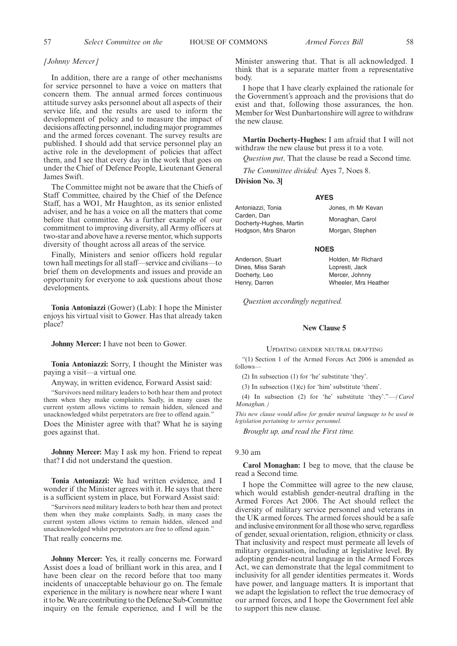### *[Johnny Mercer]*

In addition, there are a range of other mechanisms for service personnel to have a voice on matters that concern them. The annual armed forces continuous attitude survey asks personnel about all aspects of their service life, and the results are used to inform the development of policy and to measure the impact of decisions affecting personnel, including major programmes and the armed forces covenant. The survey results are published. I should add that service personnel play an active role in the development of policies that affect them, and I see that every day in the work that goes on under the Chief of Defence People, Lieutenant General James Swift.

The Committee might not be aware that the Chiefs of Staff Committee, chaired by the Chief of the Defence Staff, has a WO1, Mr Haughton, as its senior enlisted adviser, and he has a voice on all the matters that come before that committee. As a further example of our commitment to improving diversity, all Army officers at two-star and above have a reverse mentor, which supports diversity of thought across all areas of the service.

Finally, Ministers and senior officers hold regular town hall meetings for all staff—service and civilians—to brief them on developments and issues and provide an opportunity for everyone to ask questions about those developments.

**Tonia Antoniazzi** (Gower) (Lab): I hope the Minister enjoys his virtual visit to Gower. Has that already taken place?

**Johnny Mercer:** I have not been to Gower.

**Tonia Antoniazzi:** Sorry, I thought the Minister was paying a visit—a virtual one.

Anyway, in written evidence, Forward Assist said:

"Survivors need military leaders to both hear them and protect them when they make complaints. Sadly, in many cases the current system allows victims to remain hidden, silenced and unacknowledged whilst perpetrators are free to offend again."

Does the Minister agree with that? What he is saying goes against that.

**Johnny Mercer:** May I ask my hon. Friend to repeat that? I did not understand the question.

**Tonia Antoniazzi:** We had written evidence, and I wonder if the Minister agrees with it. He says that there is a sufficient system in place, but Forward Assist said:

"Survivors need military leaders to both hear them and protect them when they make complaints. Sadly, in many cases the current system allows victims to remain hidden, silenced and unacknowledged whilst perpetrators are free to offend again.'

That really concerns me.

**Johnny Mercer:** Yes, it really concerns me. Forward Assist does a load of brilliant work in this area, and I have been clear on the record before that too many incidents of unacceptable behaviour go on. The female experience in the military is nowhere near where I want it to be. We are contributing to the Defence Sub-Committee inquiry on the female experience, and I will be the Minister answering that. That is all acknowledged. I think that is a separate matter from a representative body.

I hope that I have clearly explained the rationale for the Government's approach and the provisions that do exist and that, following those assurances, the hon. Member for West Dunbartonshire will agree to withdraw the new clause.

**Martin Docherty-Hughes:** I am afraid that I will not withdraw the new clause but press it to a vote.

*Question put,* That the clause be read a Second time.

*The Committee divided:* Ayes 7, Noes 8.

**Division No. 3]**

#### **AYES**

Antoniazzi, Tonia Carden, Dan Docherty-Hughes, Martin Hodgson, Mrs Sharon

#### **NOES**

Anderson, Stuart Dines, Miss Sarah Docherty, Leo Henry, Darren

Holden, Mr Richard Lopresti, Jack Mercer, Johnny Wheeler, Mrs Heather

Jones, rh Mr Kevan Monaghan, Carol Morgan, Stephen

*Question accordingly negatived.*

#### **New Clause 5**

UPDATING GENDER NEUTRAL DRAFTING

"(1) Section 1 of the Armed Forces Act 2006 is amended as follows—

(2) In subsection (1) for 'he' substitute 'they'.

(3) In subsection (1)(c) for 'him' substitute 'them'.

(4) In subsection (2) for 'he' substitute 'they'."—*(Carol Monaghan.)*

*This new clause would allow for gender neutral language to be used in legislation pertaining to service personnel.*

*Brought up, and read the First time.*

### 9.30 am

**Carol Monaghan:** I beg to move, that the clause be read a Second time.

I hope the Committee will agree to the new clause, which would establish gender-neutral drafting in the Armed Forces Act 2006. The Act should reflect the diversity of military service personnel and veterans in the UK armed forces. The armed forces should be a safe and inclusive environment for all those who serve, regardless of gender, sexual orientation, religion, ethnicity or class. That inclusivity and respect must permeate all levels of military organisation, including at legislative level. By adopting gender-neutral language in the Armed Forces Act, we can demonstrate that the legal commitment to inclusivity for all gender identities permeates it. Words have power, and language matters. It is important that we adapt the legislation to reflect the true democracy of our armed forces, and I hope the Government feel able to support this new clause.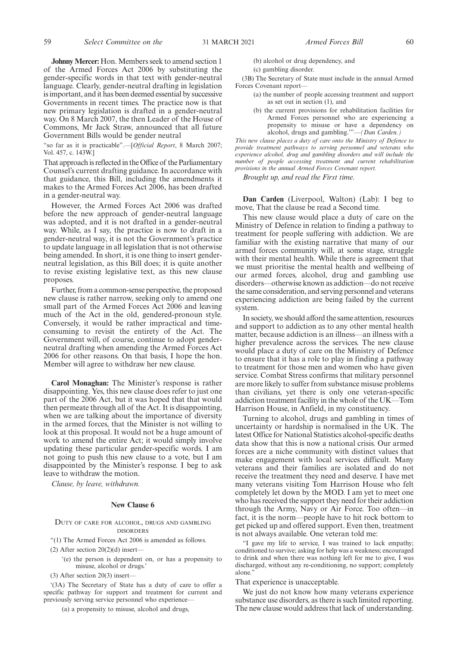**Johnny Mercer:** Hon. Members seek to amend section 1 of the Armed Forces Act 2006 by substituting the gender-specific words in that text with gender-neutral language. Clearly, gender-neutral drafting in legislation is important, and it has been deemed essential by successive Governments in recent times. The practice now is that new primary legislation is drafted in a gender-neutral way. On 8 March 2007, the then Leader of the House of Commons, Mr Jack Straw, announced that all future Government Bills would be gender neutral

"so far as it is practicable".—[*Official Report*, 8 March 2007; Vol. 457, c. 143W.]

That approach is reflected in the Office of the Parliamentary Counsel's current drafting guidance. In accordance with that guidance, this Bill, including the amendments it makes to the Armed Forces Act 2006, has been drafted in a gender-neutral way.

However, the Armed Forces Act 2006 was drafted before the new approach of gender-neutral language was adopted, and it is not drafted in a gender-neutral way. While, as I say, the practice is now to draft in a gender-neutral way, it is not the Government's practice to update language in all legislation that is not otherwise being amended. In short, it is one thing to insert genderneutral legislation, as this Bill does; it is quite another to revise existing legislative text, as this new clause proposes.

Further, from a common-sense perspective, the proposed new clause is rather narrow, seeking only to amend one small part of the Armed Forces Act 2006 and leaving much of the Act in the old, gendered-pronoun style. Conversely, it would be rather impractical and timeconsuming to revisit the entirety of the Act. The Government will, of course, continue to adopt genderneutral drafting when amending the Armed Forces Act 2006 for other reasons. On that basis, I hope the hon. Member will agree to withdraw her new clause.

**Carol Monaghan:** The Minister's response is rather disappointing. Yes, this new clause does refer to just one part of the 2006 Act, but it was hoped that that would then permeate through all of the Act. It is disappointing, when we are talking about the importance of diversity in the armed forces, that the Minister is not willing to look at this proposal. It would not be a huge amount of work to amend the entire Act; it would simply involve updating these particular gender-specific words. I am not going to push this new clause to a vote, but I am disappointed by the Minister's response. I beg to ask leave to withdraw the motion.

*Clause, by leave, withdrawn.*

#### **New Clause 6**

#### DUTY OF CARE FOR ALCOHOL, DRUGS AND GAMBLING DISORDERS

"(1) The Armed Forces Act 2006 is amended as follows.

(2) After section  $20(2)(d)$  insert—

'(e) the person is dependent on, or has a propensity to misuse, alcohol or drugs.'

 $(3)$  After section 20 $(3)$  insert-

'(3A) The Secretary of State has a duty of care to offer a specific pathway for support and treatment for current and previously serving service personnel who experience—

(a) a propensity to misuse, alcohol and drugs,

(b) alcohol or drug dependency, and

(c) gambling disorder.

(3B) The Secretary of State must include in the annual Armed Forces Covenant report—

- (a) the number of people accessing treatment and support as set out in section (1), and
- (b) the current provisions for rehabilitation facilities for Armed Forces personnel who are experiencing a propensity to misuse or have a dependency on alcohol, drugs and gambling.'"—*(Dan Carden.)*

*This new clause places a duty of care onto the Ministry of Defence to provide treatment pathways to serving personnel and veterans who experience alcohol, drug and gambling disorders and will include the number of people accessing treatment and current rehabilitation provisions in the annual Armed Forces Covenant report.*

*Brought up, and read the First time.*

**Dan Carden** (Liverpool, Walton) (Lab): I beg to move, That the clause be read a Second time.

This new clause would place a duty of care on the Ministry of Defence in relation to finding a pathway to treatment for people suffering with addiction. We are familiar with the existing narrative that many of our armed forces community will, at some stage, struggle with their mental health. While there is agreement that we must prioritise the mental health and wellbeing of our armed forces, alcohol, drug and gambling use disorders—otherwise known as addiction—do not receive the same consideration, and serving personnel and veterans experiencing addiction are being failed by the current system.

In society, we should afford the same attention, resources and support to addiction as to any other mental health matter, because addiction is an illness—an illness with a higher prevalence across the services. The new clause would place a duty of care on the Ministry of Defence to ensure that it has a role to play in finding a pathway to treatment for those men and women who have given service. Combat Stress confirms that military personnel are more likely to suffer from substance misuse problems than civilians, yet there is only one veteran-specific addiction treatment facility in the whole of the UK—Tom Harrison House, in Anfield, in my constituency.

Turning to alcohol, drugs and gambling in times of uncertainty or hardship is normalised in the UK. The latest Office for National Statistics alcohol-specific deaths data show that this is now a national crisis. Our armed forces are a niche community with distinct values that make engagement with local services difficult. Many veterans and their families are isolated and do not receive the treatment they need and deserve. I have met many veterans visiting Tom Harrison House who felt completely let down by the MOD. I am yet to meet one who has received the support they need for their addiction through the Army, Navy or Air Force. Too often—in fact, it is the norm—people have to hit rock bottom to get picked up and offered support. Even then, treatment is not always available. One veteran told me:

"I gave my life to service, I was trained to lack empathy; conditioned to survive; asking for help was a weakness; encouraged to drink and when there was nothing left for me to give, I was discharged, without any re-conditioning, no support; completely alone.

#### That experience is unacceptable.

We just do not know how many veterans experience substance use disorders, as there is such limited reporting. The new clause would address that lack of understanding.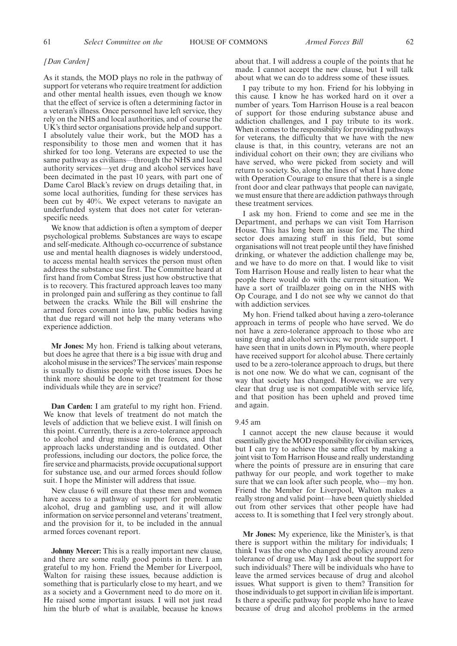#### *[Dan Carden]*

As it stands, the MOD plays no role in the pathway of support for veterans who require treatment for addiction and other mental health issues, even though we know that the effect of service is often a determining factor in a veteran's illness. Once personnel have left service, they rely on the NHS and local authorities, and of course the UK's third sector organisations provide help and support. I absolutely value their work, but the MOD has a responsibility to those men and women that it has shirked for too long. Veterans are expected to use the same pathway as civilians—through the NHS and local authority services—yet drug and alcohol services have been decimated in the past 10 years, with part one of Dame Carol Black's review on drugs detailing that, in some local authorities, funding for these services has been cut by 40%. We expect veterans to navigate an underfunded system that does not cater for veteranspecific needs.

We know that addiction is often a symptom of deeper psychological problems. Substances are ways to escape and self-medicate. Although co-occurrence of substance use and mental health diagnoses is widely understood, to access mental health services the person must often address the substance use first. The Committee heard at first hand from Combat Stress just how obstructive that is to recovery. This fractured approach leaves too many in prolonged pain and suffering as they continue to fall between the cracks. While the Bill will enshrine the armed forces covenant into law, public bodies having that due regard will not help the many veterans who experience addiction.

**Mr Jones:** My hon. Friend is talking about veterans, but does he agree that there is a big issue with drug and alcohol misuse in the services? The services'main response is usually to dismiss people with those issues. Does he think more should be done to get treatment for those individuals while they are in service?

**Dan Carden:** I am grateful to my right hon. Friend. We know that levels of treatment do not match the levels of addiction that we believe exist. I will finish on this point. Currently, there is a zero-tolerance approach to alcohol and drug misuse in the forces, and that approach lacks understanding and is outdated. Other professions, including our doctors, the police force, the fire service and pharmacists, provide occupational support for substance use, and our armed forces should follow suit. I hope the Minister will address that issue.

New clause 6 will ensure that these men and women have access to a pathway of support for problematic alcohol, drug and gambling use, and it will allow information on service personnel and veterans' treatment, and the provision for it, to be included in the annual armed forces covenant report.

**Johnny Mercer:** This is a really important new clause, and there are some really good points in there. I am grateful to my hon. Friend the Member for Liverpool, Walton for raising these issues, because addiction is something that is particularly close to my heart, and we as a society and a Government need to do more on it. He raised some important issues. I will not just read him the blurb of what is available, because he knows about that. I will address a couple of the points that he made. I cannot accept the new clause, but I will talk about what we can do to address some of these issues.

I pay tribute to my hon. Friend for his lobbying in this cause. I know he has worked hard on it over a number of years. Tom Harrison House is a real beacon of support for those enduring substance abuse and addiction challenges, and I pay tribute to its work. When it comes to the responsibility for providing pathways for veterans, the difficulty that we have with the new clause is that, in this country, veterans are not an individual cohort on their own; they are civilians who have served, who were picked from society and will return to society. So, along the lines of what I have done with Operation Courage to ensure that there is a single front door and clear pathways that people can navigate, we must ensure that there are addiction pathways through these treatment services.

I ask my hon. Friend to come and see me in the Department, and perhaps we can visit Tom Harrison House. This has long been an issue for me. The third sector does amazing stuff in this field, but some organisations will not treat people until they have finished drinking, or whatever the addiction challenge may be, and we have to do more on that. I would like to visit Tom Harrison House and really listen to hear what the people there would do with the current situation. We have a sort of trailblazer going on in the NHS with Op Courage, and I do not see why we cannot do that with addiction services.

My hon. Friend talked about having a zero-tolerance approach in terms of people who have served. We do not have a zero-tolerance approach to those who are using drug and alcohol services; we provide support. I have seen that in units down in Plymouth, where people have received support for alcohol abuse. There certainly used to be a zero-tolerance approach to drugs, but there is not one now. We do what we can, cognisant of the way that society has changed. However, we are very clear that drug use is not compatible with service life, and that position has been upheld and proved time and again.

#### 9.45 am

I cannot accept the new clause because it would essentially give the MOD responsibility for civilian services, but I can try to achieve the same effect by making a joint visit to Tom Harrison House and really understanding where the points of pressure are in ensuring that care pathway for our people, and work together to make sure that we can look after such people, who—my hon. Friend the Member for Liverpool, Walton makes a really strong and valid point—have been quietly shielded out from other services that other people have had access to. It is something that I feel very strongly about.

**Mr Jones:** My experience, like the Minister's, is that there is support within the military for individuals; I think I was the one who changed the policy around zero tolerance of drug use. May I ask about the support for such individuals? There will be individuals who have to leave the armed services because of drug and alcohol issues. What support is given to them? Transition for those individuals to get support in civilian life is important. Is there a specific pathway for people who have to leave because of drug and alcohol problems in the armed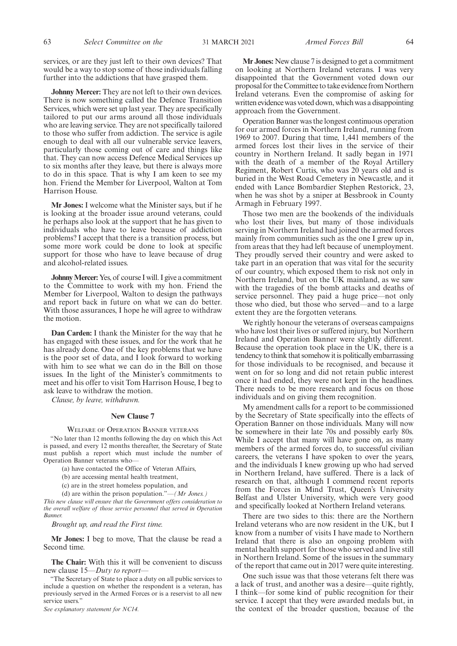services, or are they just left to their own devices? That would be a way to stop some of those individuals falling further into the addictions that have grasped them.

**Johnny Mercer:** They are not left to their own devices. There is now something called the Defence Transition Services, which were set up last year. They are specifically tailored to put our arms around all those individuals who are leaving service. They are not specifically tailored to those who suffer from addiction. The service is agile enough to deal with all our vulnerable service leavers, particularly those coming out of care and things like that. They can now access Defence Medical Services up to six months after they leave, but there is always more to do in this space. That is why I am keen to see my hon. Friend the Member for Liverpool, Walton at Tom Harrison House.

**Mr Jones:** I welcome what the Minister says, but if he is looking at the broader issue around veterans, could he perhaps also look at the support that he has given to individuals who have to leave because of addiction problems? I accept that there is a transition process, but some more work could be done to look at specific support for those who have to leave because of drug and alcohol-related issues.

**Johnny Mercer:**Yes, of course I will. I give a commitment to the Committee to work with my hon. Friend the Member for Liverpool, Walton to design the pathways and report back in future on what we can do better. With those assurances, I hope he will agree to withdraw the motion.

**Dan Carden:** I thank the Minister for the way that he has engaged with these issues, and for the work that he has already done. One of the key problems that we have is the poor set of data, and I look forward to working with him to see what we can do in the Bill on those issues. In the light of the Minister's commitments to meet and his offer to visit Tom Harrison House, I beg to ask leave to withdraw the motion.

*Clause, by leave, withdrawn.*

#### **New Clause 7**

#### WELFARE OF OPERATION BANNER VETERANS

"No later than 12 months following the day on which this Act is passed, and every 12 months thereafter, the Secretary of State must publish a report which must include the number of Operation Banner veterans who—

(a) have contacted the Office of Veteran Affairs,

(b) are accessing mental health treatment,

(c) are in the street homeless population, and

(d) are within the prison population."—*(Mr Jones.)*

*This new clause will ensure that the Government offers consideration to the overall welfare of those service personnel that served in Operation Banner.*

*Brought up, and read the First time.*

**Mr Jones:** I beg to move, That the clause be read a Second time.

**The Chair:** With this it will be convenient to discuss new clause 15—*Duty to report*—

*See explanatory statement for NC14.*

**Mr Jones:** New clause 7 is designed to get a commitment on looking at Northern Ireland veterans. I was very disappointed that the Government voted down our proposal for the Committee to take evidence from Northern Ireland veterans. Even the compromise of asking for written evidence was voted down, which was a disappointing approach from the Government.

Operation Banner was the longest continuous operation for our armed forces in Northern Ireland, running from 1969 to 2007. During that time, 1,441 members of the armed forces lost their lives in the service of their country in Northern Ireland. It sadly began in 1971 with the death of a member of the Royal Artillery Regiment, Robert Curtis, who was 20 years old and is buried in the West Road Cemetery in Newcastle, and it ended with Lance Bombardier Stephen Restorick, 23, when he was shot by a sniper at Bessbrook in County Armagh in February 1997.

Those two men are the bookends of the individuals who lost their lives, but many of those individuals serving in Northern Ireland had joined the armed forces mainly from communities such as the one I grew up in, from areas that they had left because of unemployment. They proudly served their country and were asked to take part in an operation that was vital for the security of our country, which exposed them to risk not only in Northern Ireland, but on the UK mainland, as we saw with the tragedies of the bomb attacks and deaths of service personnel. They paid a huge price—not only those who died, but those who served—and to a large extent they are the forgotten veterans.

We rightly honour the veterans of overseas campaigns who have lost their lives or suffered injury, but Northern Ireland and Operation Banner were slightly different. Because the operation took place in the UK, there is a tendency to think that somehow it is politically embarrassing for those individuals to be recognised, and because it went on for so long and did not retain public interest once it had ended, they were not kept in the headlines. There needs to be more research and focus on those individuals and on giving them recognition.

My amendment calls for a report to be commissioned by the Secretary of State specifically into the effects of Operation Banner on those individuals. Many will now be somewhere in their late 70s and possibly early 80s. While I accept that many will have gone on, as many members of the armed forces do, to successful civilian careers, the veterans I have spoken to over the years, and the individuals I knew growing up who had served in Northern Ireland, have suffered. There is a lack of research on that, although I commend recent reports from the Forces in Mind Trust, Queen's University Belfast and Ulster University, which were very good and specifically looked at Northern Ireland veterans.

There are two sides to this: there are the Northern Ireland veterans who are now resident in the UK, but I know from a number of visits I have made to Northern Ireland that there is also an ongoing problem with mental health support for those who served and live still in Northern Ireland. Some of the issues in the summary of the report that came out in 2017 were quite interesting.

One such issue was that those veterans felt there was a lack of trust, and another was a desire—quite rightly, I think—for some kind of public recognition for their service. I accept that they were awarded medals but, in the context of the broader question, because of the

<sup>&</sup>quot;The Secretary of State to place a duty on all public services to include a question on whether the respondent is a veteran, has previously served in the Armed Forces or is a reservist to all new service users."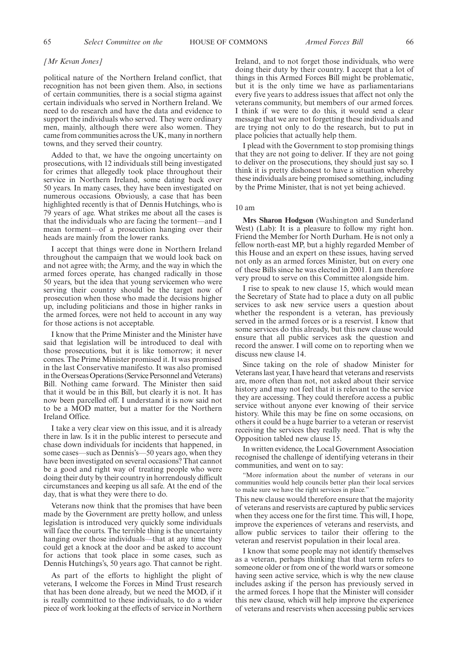#### *[Mr Kevan Jones]*

political nature of the Northern Ireland conflict, that recognition has not been given them. Also, in sections of certain communities, there is a social stigma against certain individuals who served in Northern Ireland. We need to do research and have the data and evidence to support the individuals who served. They were ordinary men, mainly, although there were also women. They came from communities across the UK, many in northern towns, and they served their country.

Added to that, we have the ongoing uncertainty on prosecutions, with 12 individuals still being investigated for crimes that allegedly took place throughout their service in Northern Ireland, some dating back over 50 years. In many cases, they have been investigated on numerous occasions. Obviously, a case that has been highlighted recently is that of Dennis Hutchings, who is 79 years of age. What strikes me about all the cases is that the individuals who are facing the torment—and I mean torment—of a prosecution hanging over their heads are mainly from the lower ranks.

I accept that things were done in Northern Ireland throughout the campaign that we would look back on and not agree with; the Army, and the way in which the armed forces operate, has changed radically in those 50 years, but the idea that young servicemen who were serving their country should be the target now of prosecution when those who made the decisions higher up, including politicians and those in higher ranks in the armed forces, were not held to account in any way for those actions is not acceptable.

I know that the Prime Minister and the Minister have said that legislation will be introduced to deal with those prosecutions, but it is like tomorrow; it never comes. The Prime Minister promised it. It was promised in the last Conservative manifesto. It was also promised in the Overseas Operations (Service Personnel and Veterans) Bill. Nothing came forward. The Minister then said that it would be in this Bill, but clearly it is not. It has now been parcelled off. I understand it is now said not to be a MOD matter, but a matter for the Northern Ireland Office.

I take a very clear view on this issue, and it is already there in law. Is it in the public interest to persecute and chase down individuals for incidents that happened, in some cases—such as Dennis's—50 years ago, when they have been investigated on several occasions? That cannot be a good and right way of treating people who were doing their duty by their country in horrendously difficult circumstances and keeping us all safe. At the end of the day, that is what they were there to do.

Veterans now think that the promises that have been made by the Government are pretty hollow, and unless legislation is introduced very quickly some individuals will face the courts. The terrible thing is the uncertainty hanging over those individuals—that at any time they could get a knock at the door and be asked to account for actions that took place in some cases, such as Dennis Hutchings's, 50 years ago. That cannot be right.

As part of the efforts to highlight the plight of veterans, I welcome the Forces in Mind Trust research that has been done already, but we need the MOD, if it is really committed to these individuals, to do a wider piece of work looking at the effects of service in Northern

Ireland, and to not forget those individuals, who were doing their duty by their country. I accept that a lot of things in this Armed Forces Bill might be problematic, but it is the only time we have as parliamentarians every five years to address issues that affect not only the veterans community, but members of our armed forces. I think if we were to do this, it would send a clear message that we are not forgetting these individuals and are trying not only to do the research, but to put in place policies that actually help them.

I plead with the Government to stop promising things that they are not going to deliver. If they are not going to deliver on the prosecutions, they should just say so. I think it is pretty dishonest to have a situation whereby these individuals are being promised something, including by the Prime Minister, that is not yet being achieved.

#### 10 am

**Mrs Sharon Hodgson** (Washington and Sunderland West) (Lab): It is a pleasure to follow my right hon. Friend the Member for North Durham. He is not only a fellow north-east MP, but a highly regarded Member of this House and an expert on these issues, having served not only as an armed forces Minister, but on every one of these Bills since he was elected in 2001. I am therefore very proud to serve on this Committee alongside him.

I rise to speak to new clause 15, which would mean the Secretary of State had to place a duty on all public services to ask new service users a question about whether the respondent is a veteran, has previously served in the armed forces or is a reservist. I know that some services do this already, but this new clause would ensure that all public services ask the question and record the answer. I will come on to reporting when we discuss new clause 14.

Since taking on the role of shadow Minister for Veterans last year, I have heard that veterans and reservists are, more often than not, not asked about their service history and may not feel that it is relevant to the service they are accessing. They could therefore access a public service without anyone ever knowing of their service history. While this may be fine on some occasions, on others it could be a huge barrier to a veteran or reservist receiving the services they really need. That is why the Opposition tabled new clause 15.

In written evidence, the Local Government Association recognised the challenge of identifying veterans in their communities, and went on to say:

"More information about the number of veterans in our communities would help councils better plan their local services to make sure we have the right services in place."

This new clause would therefore ensure that the majority of veterans and reservists are captured by public services when they access one for the first time. This will, I hope, improve the experiences of veterans and reservists, and allow public services to tailor their offering to the veteran and reservist population in their local area.

I know that some people may not identify themselves as a veteran, perhaps thinking that that term refers to someone older or from one of the world wars or someone having seen active service, which is why the new clause includes asking if the person has previously served in the armed forces. I hope that the Minister will consider this new clause, which will help improve the experience of veterans and reservists when accessing public services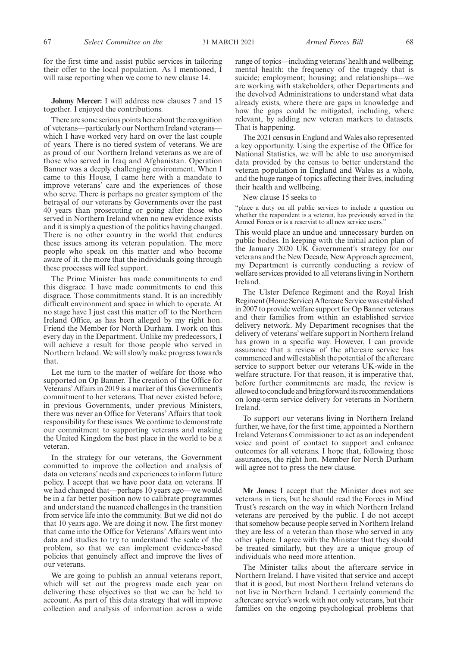for the first time and assist public services in tailoring their offer to the local population. As I mentioned, I will raise reporting when we come to new clause 14.

**Johnny Mercer:** I will address new clauses 7 and 15 together. I enjoyed the contributions.

There are some serious points here about the recognition of veterans—particularly our Northern Ireland veterans which I have worked very hard on over the last couple of years. There is no tiered system of veterans. We are as proud of our Northern Ireland veterans as we are of those who served in Iraq and Afghanistan. Operation Banner was a deeply challenging environment. When I came to this House, I came here with a mandate to improve veterans' care and the experiences of those who serve. There is perhaps no greater symptom of the betrayal of our veterans by Governments over the past 40 years than prosecuting or going after those who served in Northern Ireland when no new evidence exists and it is simply a question of the politics having changed. There is no other country in the world that endures these issues among its veteran population. The more people who speak on this matter and who become aware of it, the more that the individuals going through these processes will feel support.

The Prime Minister has made commitments to end this disgrace. I have made commitments to end this disgrace. Those commitments stand. It is an incredibly difficult environment and space in which to operate. At no stage have I just cast this matter off to the Northern Ireland Office, as has been alleged by my right hon. Friend the Member for North Durham. I work on this every day in the Department. Unlike my predecessors, I will achieve a result for those people who served in Northern Ireland. We will slowly make progress towards that.

Let me turn to the matter of welfare for those who supported on Op Banner. The creation of the Office for Veterans' Affairs in 2019 is a marker of this Government's commitment to her veterans. That never existed before; in previous Governments, under previous Ministers, there was never an Office for Veterans' Affairs that took responsibility for these issues. We continue to demonstrate our commitment to supporting veterans and making the United Kingdom the best place in the world to be a veteran.

In the strategy for our veterans, the Government committed to improve the collection and analysis of data on veterans' needs and experiences to inform future policy. I accept that we have poor data on veterans. If we had changed that—perhaps 10 years ago—we would be in a far better position now to calibrate programmes and understand the nuanced challenges in the transition from service life into the community. But we did not do that 10 years ago. We are doing it now. The first money that came into the Office for Veterans' Affairs went into data and studies to try to understand the scale of the problem, so that we can implement evidence-based policies that genuinely affect and improve the lives of our veterans.

We are going to publish an annual veterans report, which will set out the progress made each year on delivering these objectives so that we can be held to account. As part of this data strategy that will improve collection and analysis of information across a wide

range of topics—including veterans'health and wellbeing; mental health; the frequency of the tragedy that is suicide; employment; housing; and relationships—we are working with stakeholders, other Departments and the devolved Administrations to understand what data already exists, where there are gaps in knowledge and how the gaps could be mitigated, including, where relevant, by adding new veteran markers to datasets. That is happening.

The 2021 census in England and Wales also represented a key opportunity. Using the expertise of the Office for National Statistics, we will be able to use anonymised data provided by the census to better understand the veteran population in England and Wales as a whole, and the huge range of topics affecting their lives, including their health and wellbeing.

New clause 15 seeks to

"place a duty on all public services to include a question on whether the respondent is a veteran, has previously served in the Armed Forces or is a reservist to all new service users."

This would place an undue and unnecessary burden on public bodies. In keeping with the initial action plan of the January 2020 UK Government's strategy for our veterans and the New Decade, New Approach agreement, my Department is currently conducting a review of welfare services provided to all veterans living in Northern Ireland.

The Ulster Defence Regiment and the Royal Irish Regiment (Home Service) Aftercare Service was established in 2007 to provide welfare support for Op Banner veterans and their families from within an established service delivery network. My Department recognises that the delivery of veterans' welfare support in Northern Ireland has grown in a specific way. However, I can provide assurance that a review of the aftercare service has commenced and will establish the potential of the aftercare service to support better our veterans UK-wide in the welfare structure. For that reason, it is imperative that, before further commitments are made, the review is allowed to conclude and bring forward its recommendations on long-term service delivery for veterans in Northern Ireland.

To support our veterans living in Northern Ireland further, we have, for the first time, appointed a Northern Ireland Veterans Commissioner to act as an independent voice and point of contact to support and enhance outcomes for all veterans. I hope that, following those assurances, the right hon. Member for North Durham will agree not to press the new clause.

**Mr Jones:** I accept that the Minister does not see veterans in tiers, but he should read the Forces in Mind Trust's research on the way in which Northern Ireland veterans are perceived by the public. I do not accept that somehow because people served in Northern Ireland they are less of a veteran than those who served in any other sphere. I agree with the Minister that they should be treated similarly, but they are a unique group of individuals who need more attention.

The Minister talks about the aftercare service in Northern Ireland. I have visited that service and accept that it is good, but most Northern Ireland veterans do not live in Northern Ireland. I certainly commend the aftercare service's work with not only veterans, but their families on the ongoing psychological problems that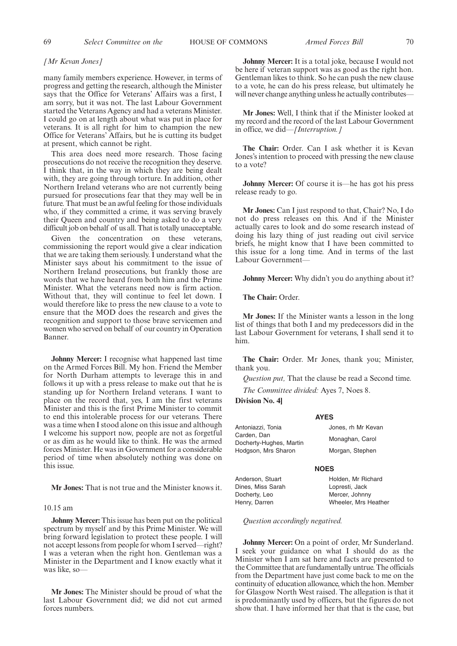#### *[Mr Kevan Jones]*

many family members experience. However, in terms of progress and getting the research, although the Minister says that the Office for Veterans' Affairs was a first, I am sorry, but it was not. The last Labour Government started the Veterans Agency and had a veterans Minister. I could go on at length about what was put in place for veterans. It is all right for him to champion the new Office for Veterans' Affairs, but he is cutting its budget at present, which cannot be right.

This area does need more research. Those facing prosecutions do not receive the recognition they deserve. I think that, in the way in which they are being dealt with, they are going through torture. In addition, other Northern Ireland veterans who are not currently being pursued for prosecutions fear that they may well be in future. That must be an awful feeling for those individuals who, if they committed a crime, it was serving bravely their Queen and country and being asked to do a very difficult job on behalf of us all. That is totally unacceptable.

Given the concentration on these veterans, commissioning the report would give a clear indication that we are taking them seriously. I understand what the Minister says about his commitment to the issue of Northern Ireland prosecutions, but frankly those are words that we have heard from both him and the Prime Minister. What the veterans need now is firm action. Without that, they will continue to feel let down. I would therefore like to press the new clause to a vote to ensure that the MOD does the research and gives the recognition and support to those brave servicemen and women who served on behalf of our country in Operation Banner.

**Johnny Mercer:** I recognise what happened last time on the Armed Forces Bill. My hon. Friend the Member for North Durham attempts to leverage this in and follows it up with a press release to make out that he is standing up for Northern Ireland veterans. I want to place on the record that, yes, I am the first veterans Minister and this is the first Prime Minister to commit to end this intolerable process for our veterans. There was a time when I stood alone on this issue and although I welcome his support now, people are not as forgetful or as dim as he would like to think. He was the armed forces Minister. He was in Government for a considerable period of time when absolutely nothing was done on this issue.

**Mr Jones:** That is not true and the Minister knows it.

### 10.15 am

**Johnny Mercer:** This issue has been put on the political spectrum by myself and by this Prime Minister. We will bring forward legislation to protect these people. I will not accept lessons from people for whom I served—right? I was a veteran when the right hon. Gentleman was a Minister in the Department and I know exactly what it was like, so—

**Mr Jones:** The Minister should be proud of what the last Labour Government did; we did not cut armed forces numbers.

**Johnny Mercer:** It is a total joke, because I would not be here if veteran support was as good as the right hon. Gentleman likes to think. So he can push the new clause to a vote, he can do his press release, but ultimately he will never change anything unless he actually contributes—

**Mr Jones:** Well, I think that if the Minister looked at my record and the record of the last Labour Government in office, we did—*[Interruption.]*

**The Chair:** Order. Can I ask whether it is Kevan Jones's intention to proceed with pressing the new clause to a vote?

**Johnny Mercer:** Of course it is—he has got his press release ready to go.

**Mr Jones:** Can I just respond to that, Chair? No, I do not do press releases on this. And if the Minister actually cares to look and do some research instead of doing his lazy thing of just reading out civil service briefs, he might know that I have been committed to this issue for a long time. And in terms of the last Labour Government—

**Johnny Mercer:** Why didn't you do anything about it?

**The Chair:** Order.

**Mr Jones:** If the Minister wants a lesson in the long list of things that both I and my predecessors did in the last Labour Government for veterans, I shall send it to him.

**The Chair:** Order. Mr Jones, thank you; Minister, thank you.

*Question put,* That the clause be read a Second time.

*The Committee divided:* Ayes 7, Noes 8.

**Division No. 4]**

### **AYES**

| Antoniazzi. Tonia       | Jones, rh Mr Kevan |
|-------------------------|--------------------|
| Carden. Dan             | Monaghan, Carol    |
| Docherty-Hughes, Martin |                    |
| Hodgson, Mrs Sharon     | Morgan, Stephen    |

#### **NOES**

Anderson, Stuart Dines, Miss Sarah Docherty, Leo Henry, Darren Holden, Mr Richard Lopresti, Jack Mercer, Johnny Wheeler, Mrs Heather

*Question accordingly negatived.*

**Johnny Mercer:** On a point of order, Mr Sunderland. I seek your guidance on what I should do as the Minister when I am sat here and facts are presented to the Committee that are fundamentally untrue. The officials from the Department have just come back to me on the continuity of education allowance, which the hon. Member for Glasgow North West raised. The allegation is that it is predominantly used by officers, but the figures do not show that. I have informed her that that is the case, but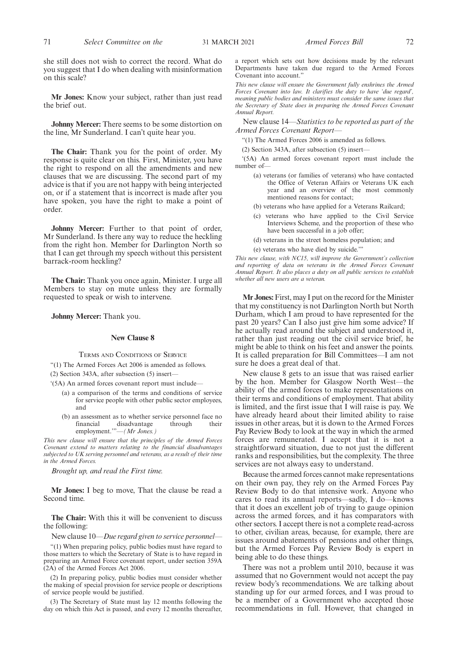**Mr Jones:** Know your subject, rather than just read the brief out.

**Johnny Mercer:** There seems to be some distortion on the line, Mr Sunderland. I can't quite hear you.

**The Chair:** Thank you for the point of order. My response is quite clear on this. First, Minister, you have the right to respond on all the amendments and new clauses that we are discussing. The second part of my advice is that if you are not happy with being interjected on, or if a statement that is incorrect is made after you have spoken, you have the right to make a point of order.

**Johnny Mercer:** Further to that point of order, Mr Sunderland. Is there any way to reduce the heckling from the right hon. Member for Darlington North so that I can get through my speech without this persistent barrack-room heckling?

**The Chair:** Thank you once again, Minister. I urge all Members to stay on mute unless they are formally requested to speak or wish to intervene.

**Johnny Mercer:** Thank you.

#### **New Clause 8**

TERMS AND CONDITIONS OF SERVICE

"(1) The Armed Forces Act 2006 is amended as follows.

(2) Section 343A, after subsection (5) insert—

- '(5A) An armed forces covenant report must include—
	- (a) a comparison of the terms and conditions of service for service people with other public sector employees, and
	- (b) an assessment as to whether service personnel face no financial disadvantage through their employment.'"—*(Mr Jones.)*

*This new clause will ensure that the principles of the Armed Forces Covenant extend to matters relating to the financial disadvantages subjected to UK serving personnel and veterans, as a result of their time in the Armed Forces.*

*Brought up, and read the First time.*

**Mr Jones:** I beg to move, That the clause be read a Second time.

**The Chair:** With this it will be convenient to discuss the following:

New clause 10—*Due regard given to service personnel—*

"(1) When preparing policy, public bodies must have regard to those matters to which the Secretary of State is to have regard in preparing an Armed Force covenant report, under section 359A (2A) of the Armed Forces Act 2006.

(2) In preparing policy, public bodies must consider whether the making of special provision for service people or descriptions of service people would be justified.

(3) The Secretary of State must lay 12 months following the day on which this Act is passed, and every 12 months thereafter,

a report which sets out how decisions made by the relevant Departments have taken due regard to the Armed Forces Covenant into account."

*This new clause will ensure the Government fully enshrines the Armed Forces Covenant into law. It clarifies the duty to have 'due regard', meaning public bodies and ministers must consider the same issues that the Secretary of State does in preparing the Armed Forces Covenant Annual Report.*

New clause 14—*Statistics to be reported as part of the Armed Forces Covenant Report—*

"(1) The Armed Forces 2006 is amended as follows.

(2) Section 343A, after subsection (5) insert—

'(5A) An armed forces covenant report must include the number of—

- (a) veterans (or families of veterans) who have contacted the Office of Veteran Affairs or Veterans UK each year and an overview of the most commonly mentioned reasons for contact;
- (b) veterans who have applied for a Veterans Railcard;
- (c) veterans who have applied to the Civil Service Interviews Scheme, and the proportion of these who have been successful in a job offer;
- (d) veterans in the street homeless population; and
- (e) veterans who have died by suicide.'"

*This new clause, with NC15, will improve the Government's collection and reporting of data on veterans in the Armed Forces Covenant Annual Report. It also places a duty on all public services to establish whether all new users are a veteran.*

**Mr Jones:**First, may I put on the record for the Minister that my constituency is not Darlington North but North Durham, which I am proud to have represented for the past 20 years? Can I also just give him some advice? If he actually read around the subject and understood it, rather than just reading out the civil service brief, he might be able to think on his feet and answer the points. It is called preparation for Bill Committees—I am not sure he does a great deal of that.

New clause 8 gets to an issue that was raised earlier by the hon. Member for Glasgow North West—the ability of the armed forces to make representations on their terms and conditions of employment. That ability is limited, and the first issue that I will raise is pay. We have already heard about their limited ability to raise issues in other areas, but it is down to the Armed Forces Pay Review Body to look at the way in which the armed forces are remunerated. I accept that it is not a straightforward situation, due to not just the different ranks and responsibilities, but the complexity. The three services are not always easy to understand.

Because the armed forces cannot make representations on their own pay, they rely on the Armed Forces Pay Review Body to do that intensive work. Anyone who cares to read its annual reports—sadly, I do—knows that it does an excellent job of trying to gauge opinion across the armed forces, and it has comparators with other sectors. I accept there is not a complete read-across to other, civilian areas, because, for example, there are issues around abatements of pensions and other things, but the Armed Forces Pay Review Body is expert in being able to do these things.

There was not a problem until 2010, because it was assumed that no Government would not accept the pay review body's recommendations. We are talking about standing up for our armed forces, and I was proud to be a member of a Government who accepted those recommendations in full. However, that changed in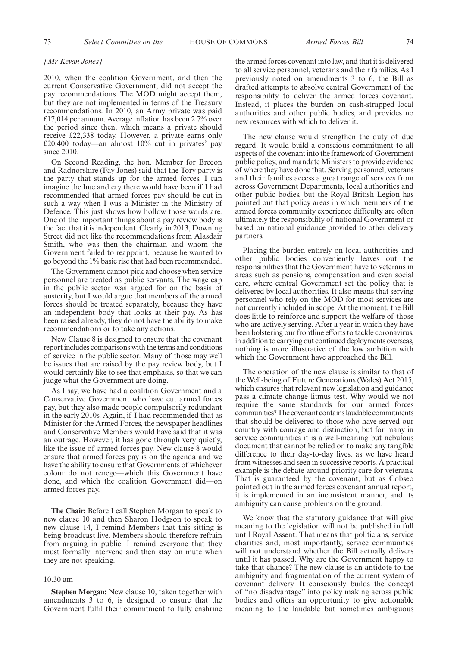#### *[Mr Kevan Jones]*

2010, when the coalition Government, and then the current Conservative Government, did not accept the pay recommendations. The MOD might accept them, but they are not implemented in terms of the Treasury recommendations. In 2010, an Army private was paid £17,014 per annum. Average inflation has been 2.7% over the period since then, which means a private should receive £22,338 today. However, a private earns only £20,400 today—an almost 10% cut in privates' pay since 2010.

On Second Reading, the hon. Member for Brecon and Radnorshire (Fay Jones) said that the Tory party is the party that stands up for the armed forces. I can imagine the hue and cry there would have been if I had recommended that armed forces pay should be cut in such a way when I was a Minister in the Ministry of Defence. This just shows how hollow those words are. One of the important things about a pay review body is the fact that it is independent. Clearly, in 2013, Downing Street did not like the recommendations from Alasdair Smith, who was then the chairman and whom the Government failed to reappoint, because he wanted to go beyond the 1% basic rise that had been recommended.

The Government cannot pick and choose when service personnel are treated as public servants. The wage cap in the public sector was argued for on the basis of austerity, but I would argue that members of the armed forces should be treated separately, because they have an independent body that looks at their pay. As has been raised already, they do not have the ability to make recommendations or to take any actions.

New Clause 8 is designed to ensure that the covenant report includes comparisons with the terms and conditions of service in the public sector. Many of those may well be issues that are raised by the pay review body, but I would certainly like to see that emphasis, so that we can judge what the Government are doing.

As I say, we have had a coalition Government and a Conservative Government who have cut armed forces pay, but they also made people compulsorily redundant in the early 2010s. Again, if I had recommended that as Minister for the Armed Forces, the newspaper headlines and Conservative Members would have said that it was an outrage. However, it has gone through very quietly, like the issue of armed forces pay. New clause 8 would ensure that armed forces pay is on the agenda and we have the ability to ensure that Governments of whichever colour do not renege—which this Government have done, and which the coalition Government did—on armed forces pay.

**The Chair:** Before I call Stephen Morgan to speak to new clause 10 and then Sharon Hodgson to speak to new clause 14, I remind Members that this sitting is being broadcast live. Members should therefore refrain from arguing in public. I remind everyone that they must formally intervene and then stay on mute when they are not speaking.

### 10.30 am

**Stephen Morgan:** New clause 10, taken together with amendments 3 to 6, is designed to ensure that the Government fulfil their commitment to fully enshrine the armed forces covenant into law, and that it is delivered to all service personnel, veterans and their families. As I previously noted on amendments 3 to 6, the Bill as drafted attempts to absolve central Government of the responsibility to deliver the armed forces covenant. Instead, it places the burden on cash-strapped local authorities and other public bodies, and provides no new resources with which to deliver it.

The new clause would strengthen the duty of due regard. It would build a conscious commitment to all aspects of the covenant into the framework of Government public policy, and mandate Ministers to provide evidence of where they have done that. Serving personnel, veterans and their families access a great range of services from across Government Departments, local authorities and other public bodies, but the Royal British Legion has pointed out that policy areas in which members of the armed forces community experience difficulty are often ultimately the responsibility of national Government or based on national guidance provided to other delivery partners.

Placing the burden entirely on local authorities and other public bodies conveniently leaves out the responsibilities that the Government have to veterans in areas such as pensions, compensation and even social care, where central Government set the policy that is delivered by local authorities. It also means that serving personnel who rely on the MOD for most services are not currently included in scope. At the moment, the Bill does little to reinforce and support the welfare of those who are actively serving. After a year in which they have been bolstering our frontline efforts to tackle coronavirus, in addition to carrying out continued deployments overseas, nothing is more illustrative of the low ambition with which the Government have approached the Bill.

The operation of the new clause is similar to that of the Well-being of Future Generations (Wales) Act 2015, which ensures that relevant new legislation and guidance pass a climate change litmus test. Why would we not require the same standards for our armed forces communities? The covenant contains laudable commitments that should be delivered to those who have served our country with courage and distinction, but for many in service communities it is a well-meaning but nebulous document that cannot be relied on to make any tangible difference to their day-to-day lives, as we have heard from witnesses and seen in successive reports. A practical example is the debate around priority care for veterans. That is guaranteed by the covenant, but as Cobseo pointed out in the armed forces covenant annual report, it is implemented in an inconsistent manner, and its ambiguity can cause problems on the ground.

We know that the statutory guidance that will give meaning to the legislation will not be published in full until Royal Assent. That means that politicians, service charities and, most importantly, service communities will not understand whether the Bill actually delivers until it has passed. Why are the Government happy to take that chance? The new clause is an antidote to the ambiguity and fragmentation of the current system of covenant delivery. It consciously builds the concept of "no disadvantage" into policy making across public bodies and offers an opportunity to give actionable meaning to the laudable but sometimes ambiguous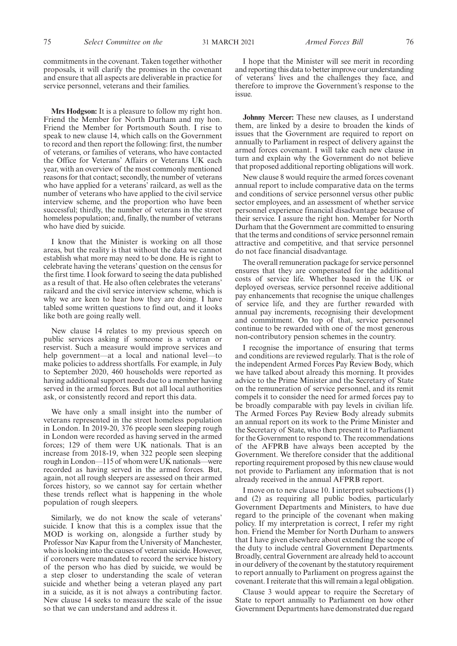commitments in the covenant. Taken together withother proposals, it will clarify the promises in the covenant and ensure that all aspects are deliverable in practice for service personnel, veterans and their families.

**Mrs Hodgson:** It is a pleasure to follow my right hon. Friend the Member for North Durham and my hon. Friend the Member for Portsmouth South. I rise to speak to new clause 14, which calls on the Government to record and then report the following: first, the number of veterans, or families of veterans, who have contacted the Office for Veterans' Affairs or Veterans UK each year, with an overview of the most commonly mentioned reasons for that contact; secondly, the number of veterans who have applied for a veterans' railcard, as well as the number of veterans who have applied to the civil service interview scheme, and the proportion who have been successful; thirdly, the number of veterans in the street homeless population; and, finally, the number of veterans who have died by suicide.

I know that the Minister is working on all those areas, but the reality is that without the data we cannot establish what more may need to be done. He is right to celebrate having the veterans' question on the census for the first time. I look forward to seeing the data published as a result of that. He also often celebrates the veterans' railcard and the civil service interview scheme, which is why we are keen to hear how they are doing. I have tabled some written questions to find out, and it looks like both are going really well.

New clause 14 relates to my previous speech on public services asking if someone is a veteran or reservist. Such a measure would improve services and help government—at a local and national level—to make policies to address shortfalls. For example, in July to September 2020, 460 households were reported as having additional support needs due to a member having served in the armed forces. But not all local authorities ask, or consistently record and report this data.

We have only a small insight into the number of veterans represented in the street homeless population in London. In 2019-20, 376 people seen sleeping rough in London were recorded as having served in the armed forces; 129 of them were UK nationals. That is an increase from 2018-19, when 322 people seen sleeping rough in London—115 of whom were UK nationals—were recorded as having served in the armed forces. But, again, not all rough sleepers are assessed on their armed forces history, so we cannot say for certain whether these trends reflect what is happening in the whole population of rough sleepers.

Similarly, we do not know the scale of veterans' suicide. I know that this is a complex issue that the MOD is working on, alongside a further study by Professor Nav Kapur from the University of Manchester, who is looking into the causes of veteran suicide. However, if coroners were mandated to record the service history of the person who has died by suicide, we would be a step closer to understanding the scale of veteran suicide and whether being a veteran played any part in a suicide, as it is not always a contributing factor. New clause 14 seeks to measure the scale of the issue so that we can understand and address it.

I hope that the Minister will see merit in recording and reporting this data to better improve our understanding of veterans' lives and the challenges they face, and therefore to improve the Government's response to the issue.

**Johnny Mercer:** These new clauses, as I understand them, are linked by a desire to broaden the kinds of issues that the Government are required to report on annually to Parliament in respect of delivery against the armed forces covenant. I will take each new clause in turn and explain why the Government do not believe that proposed additional reporting obligations will work.

New clause 8 would require the armed forces covenant annual report to include comparative data on the terms and conditions of service personnel versus other public sector employees, and an assessment of whether service personnel experience financial disadvantage because of their service. I assure the right hon. Member for North Durham that the Government are committed to ensuring that the terms and conditions of service personnel remain attractive and competitive, and that service personnel do not face financial disadvantage.

The overall remuneration package for service personnel ensures that they are compensated for the additional costs of service life. Whether based in the UK or deployed overseas, service personnel receive additional pay enhancements that recognise the unique challenges of service life, and they are further rewarded with annual pay increments, recognising their development and commitment. On top of that, service personnel continue to be rewarded with one of the most generous non-contributory pension schemes in the country.

I recognise the importance of ensuring that terms and conditions are reviewed regularly. That is the role of the independent Armed Forces Pay Review Body, which we have talked about already this morning. It provides advice to the Prime Minister and the Secretary of State on the remuneration of service personnel, and its remit compels it to consider the need for armed forces pay to be broadly comparable with pay levels in civilian life. The Armed Forces Pay Review Body already submits an annual report on its work to the Prime Minister and the Secretary of State, who then present it to Parliament for the Government to respond to. The recommendations of the AFPRB have always been accepted by the Government. We therefore consider that the additional reporting requirement proposed by this new clause would not provide to Parliament any information that is not already received in the annual AFPRB report.

I move on to new clause 10. I interpret subsections (1) and (2) as requiring all public bodies, particularly Government Departments and Ministers, to have due regard to the principle of the covenant when making policy. If my interpretation is correct, I refer my right hon. Friend the Member for North Durham to answers that I have given elsewhere about extending the scope of the duty to include central Government Departments. Broadly, central Government are already held to account in our delivery of the covenant by the statutory requirement to report annually to Parliament on progress against the covenant. I reiterate that this will remain a legal obligation.

Clause 3 would appear to require the Secretary of State to report annually to Parliament on how other Government Departments have demonstrated due regard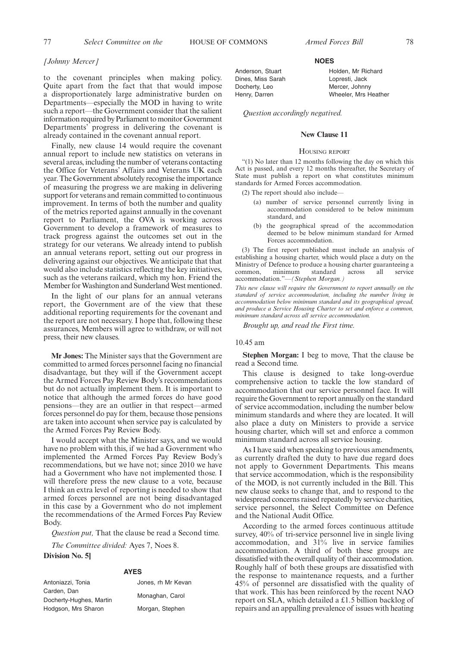Holden, Mr Richard Lopresti, Jack Mercer, Johnny Wheeler, Mrs Heather

# *[Johnny Mercer]*

to the covenant principles when making policy. Quite apart from the fact that that would impose a disproportionately large administrative burden on Departments—especially the MOD in having to write such a report—the Government consider that the salient information required by Parliament to monitor Government Departments' progress in delivering the covenant is already contained in the covenant annual report.

Finally, new clause 14 would require the covenant annual report to include new statistics on veterans in several areas, including the number of veterans contacting the Office for Veterans' Affairs and Veterans UK each year. The Government absolutely recognise the importance of measuring the progress we are making in delivering support for veterans and remain committed to continuous improvement. In terms of both the number and quality of the metrics reported against annually in the covenant report to Parliament, the OVA is working across Government to develop a framework of measures to track progress against the outcomes set out in the strategy for our veterans. We already intend to publish an annual veterans report, setting out our progress in delivering against our objectives. We anticipate that that would also include statistics reflecting the key initiatives, such as the veterans railcard, which my hon. Friend the Member for Washington and Sunderland West mentioned.

In the light of our plans for an annual veterans report, the Government are of the view that these additional reporting requirements for the covenant and the report are not necessary. I hope that, following these assurances, Members will agree to withdraw, or will not press, their new clauses.

**Mr Jones:** The Minister says that the Government are committed to armed forces personnel facing no financial disadvantage, but they will if the Government accept the Armed Forces Pay Review Body's recommendations but do not actually implement them. It is important to notice that although the armed forces do have good pensions—they are an outlier in that respect—armed forces personnel do pay for them, because those pensions are taken into account when service pay is calculated by the Armed Forces Pay Review Body.

I would accept what the Minister says, and we would have no problem with this, if we had a Government who implemented the Armed Forces Pay Review Body's recommendations, but we have not; since 2010 we have had a Government who have not implemented those. I will therefore press the new clause to a vote, because I think an extra level of reporting is needed to show that armed forces personnel are not being disadvantaged in this case by a Government who do not implement the recommendations of the Armed Forces Pay Review Body.

*Question put,* That the clause be read a Second time.

*The Committee divided:* Ayes 7, Noes 8.

**Division No. 5]**

#### **AYES**

| Antoniazzi, Tonia       | Jones, rh Mr Kevan |
|-------------------------|--------------------|
| Carden, Dan             |                    |
| Docherty-Hughes, Martin | Monaghan, Carol    |
| Hodgson, Mrs Sharon     | Morgan, Stephen    |

#### **NOES**

Anderson, Stuart Dines, Miss Sarah Docherty, Leo Henry, Darren

*Question accordingly negatived.*

#### **New Clause 11**

#### HOUSING REPORT

"(1) No later than 12 months following the day on which this Act is passed, and every 12 months thereafter, the Secretary of State must publish a report on what constitutes minimum standards for Armed Forces accommodation.

 $(2)$  The report should also include-

- (a) number of service personnel currently living in accommodation considered to be below minimum standard, and
- (b) the geographical spread of the accommodation deemed to be below minimum standard for Armed Forces accommodation.

(3) The first report published must include an analysis of establishing a housing charter, which would place a duty on the Ministry of Defence to produce a housing charter guaranteeing a common, minimum standard across all service minimum accommodation."—*(Stephen Morgan.)*

*This new clause will require the Government to report annually on the standard of service accommodation, including the number living in accommodation below minimum standard and its geographical spread, and produce a Service Housing Charter to set and enforce a common, minimum standard across all service accommodation.*

*Brought up, and read the First time.*

#### 10.45 am

**Stephen Morgan:** I beg to move, That the clause be read a Second time.

This clause is designed to take long-overdue comprehensive action to tackle the low standard of accommodation that our service personnel face. It will require the Government to report annually on the standard of service accommodation, including the number below minimum standards and where they are located. It will also place a duty on Ministers to provide a service housing charter, which will set and enforce a common minimum standard across all service housing.

As I have said when speaking to previous amendments, as currently drafted the duty to have due regard does not apply to Government Departments. This means that service accommodation, which is the responsibility of the MOD, is not currently included in the Bill. This new clause seeks to change that, and to respond to the widespread concerns raised repeatedly by service charities, service personnel, the Select Committee on Defence and the National Audit Office.

According to the armed forces continuous attitude survey, 40% of tri-service personnel live in single living accommodation, and 31% live in service families accommodation. A third of both these groups are dissatisfied with the overall quality of their accommodation. Roughly half of both these groups are dissatisfied with the response to maintenance requests, and a further 45% of personnel are dissatisfied with the quality of that work. This has been reinforced by the recent NAO report on SLA, which detailed a £1.5 billion backlog of repairs and an appalling prevalence of issues with heating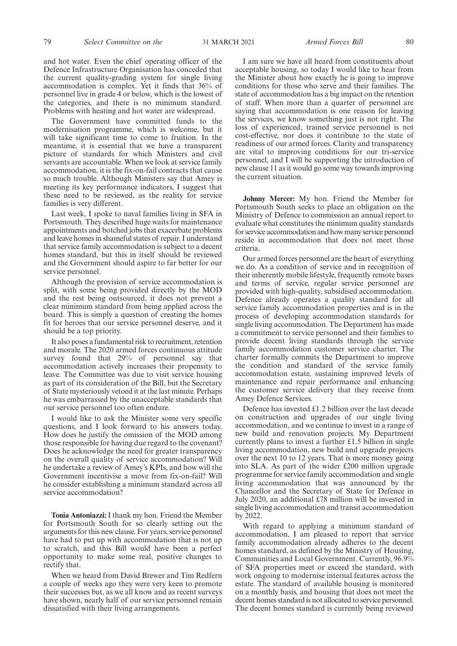and hot water. Even the chief operating officer of the Defence Infrastructure Organisation has conceded that the current quality-grading system for single living accommodation is complex. Yet it finds that 36% of personnel live in grade 4 or below, which is the lowest of the categories, and there is no minimum standard. Problems with heating and hot water are widespread.

The Government have committed funds to the modernisation programme, which is welcome, but it will take significant time to come to fruition. In the meantime, it is essential that we have a transparent picture of standards for which Ministers and civil servants are accountable. When we look at service family accommodation, it is the fix-on-fail contracts that cause so much trouble. Although Ministers say that Amey is meeting its key performance indicators, I suggest that these need to be reviewed, as the reality for service families is very different.

Last week, I spoke to naval families living in SFA in Portsmouth. They described huge waits for maintenance appointments and botched jobs that exacerbate problems and leave homes in shameful states of repair. I understand that service family accommodation is subject to a decent homes standard, but this in itself should be reviewed and the Government should aspire to far better for our service personnel.

Although the provision of service accommodation is split, with some being provided directly by the MOD and the rest being outsourced, it does not prevent a clear minimum standard from being applied across the board. This is simply a question of creating the homes fit for heroes that our service personnel deserve, and it should be a top priority.

It also poses a fundamental risk to recruitment, retention and morale. The 2020 armed forces continuous attitude survey found that 29% of personnel say that accommodation actively increases their propensity to leave. The Committee was due to visit service housing as part of its consideration of the Bill, but the Secretary of State mysteriously vetoed it at the last minute. Perhaps he was embarrassed by the unacceptable standards that our service personnel too often endure.

I would like to ask the Minister some very specific questions, and I look forward to his answers today. How does he justify the omission of the MOD among those responsible for having due regard to the covenant? Does he acknowledge the need for greater transparency on the overall quality of service accommodation? Will he undertake a review of Amey's KPIs, and how will the Government incentivise a move from fix-on-fail? Will he consider establishing a minimum standard across all service accommodation?

**Tonia Antoniazzi:**I thank my hon. Friend the Member for Portsmouth South for so clearly setting out the arguments for this new clause. For years, service personnel have had to put up with accommodation that is not up to scratch, and this Bill would have been a perfect opportunity to make some real, positive changes to rectify that.

When we heard from David Brewer and Tim Redfern a couple of weeks ago they were very keen to promote their successes but, as we all know and as recent surveys have shown, nearly half of our service personnel remain dissatisfied with their living arrangements.

I am sure we have all heard from constituents about acceptable housing, so today I would like to hear from the Minister about how exactly he is going to improve conditions for those who serve and their families. The state of accommodation has a big impact on the retention of staff. When more than a quarter of personnel are saying that accommodation is one reason for leaving the services, we know something just is not right. The loss of experienced, trained service personnel is not cost-effective, nor does it contribute to the state of readiness of our armed forces. Clarity and transparency are vital to improving conditions for our tri-service personnel, and I will be supporting the introduction of new clause 11 as it would go some way towards improving the current situation.

**Johnny Mercer:** My hon. Friend the Member for Portsmouth South seeks to place an obligation on the Ministry of Defence to commission an annual report to evaluate what constitutes the minimum quality standards for service accommodation and how many service personnel reside in accommodation that does not meet those criteria.

Our armed forces personnel are the heart of everything we do. As a condition of service and in recognition of their inherently mobile lifestyle, frequently remote bases and terms of service, regular service personnel are provided with high-quality, subsidised accommodation. Defence already operates a quality standard for all service family accommodation properties and is in the process of developing accommodation standards for single living accommodation. The Department has made a commitment to service personnel and their families to provide decent living standards through the service family accommodation customer service charter. The charter formally commits the Department to improve the condition and standard of the service family accommodation estate, sustaining improved levels of maintenance and repair performance and enhancing the customer service delivery that they receive from Amey Defence Services.

Defence has invested £1.2 billion over the last decade on construction and upgrades of our single living accommodation, and we continue to invest in a range of new build and renovation projects. My Department currently plans to invest a further £1.5 billion in single living accommodation, new build and upgrade projects over the next 10 to 12 years. That is more money going into SLA. As part of the wider £200 million upgrade programme for service family accommodation and single living accommodation that was announced by the Chancellor and the Secretary of State for Defence in July 2020, an additional £78 million will be invested in single living accommodation and transit accommodation by 2022.

With regard to applying a minimum standard of accommodation, I am pleased to report that service family accommodation already adheres to the decent homes standard, as defined by the Ministry of Housing, Communities and Local Government. Currently, 96.9% of SFA properties meet or exceed the standard, with work ongoing to modernise internal features across the estate. The standard of available housing is monitored on a monthly basis, and housing that does not meet the decent homes standard is not allocated to service personnel. The decent homes standard is currently being reviewed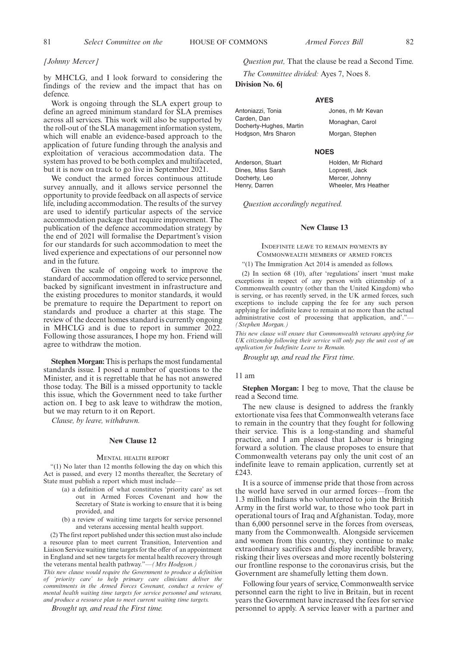#### *[Johnny Mercer]*

by MHCLG, and I look forward to considering the findings of the review and the impact that has on defence.

Work is ongoing through the SLA expert group to define an agreed minimum standard for SLA premises across all services. This work will also be supported by the roll-out of the SLA management information system, which will enable an evidence-based approach to the application of future funding through the analysis and exploitation of veracious accommodation data. The system has proved to be both complex and multifaceted, but it is now on track to go live in September 2021.

We conduct the armed forces continuous attitude survey annually, and it allows service personnel the opportunity to provide feedback on all aspects of service life, including accommodation. The results of the survey are used to identify particular aspects of the service accommodation package that require improvement. The publication of the defence accommodation strategy by the end of 2021 will formalise the Department's vision for our standards for such accommodation to meet the lived experience and expectations of our personnel now and in the future.

Given the scale of ongoing work to improve the standard of accommodation offered to service personnel, backed by significant investment in infrastructure and the existing procedures to monitor standards, it would be premature to require the Department to report on standards and produce a charter at this stage. The review of the decent homes standard is currently ongoing in MHCLG and is due to report in summer 2022. Following those assurances, I hope my hon. Friend will agree to withdraw the motion.

**Stephen Morgan:** This is perhaps the most fundamental standards issue. I posed a number of questions to the Minister, and it is regrettable that he has not answered those today. The Bill is a missed opportunity to tackle this issue, which the Government need to take further action on. I beg to ask leave to withdraw the motion, but we may return to it on Report.

*Clause, by leave, withdrawn.*

#### **New Clause 12**

#### MENTAL HEALTH REPORT

"(1) No later than 12 months following the day on which this Act is passed, and every 12 months thereafter, the Secretary of State must publish a report which must include—

- (a) a definition of what constitutes 'priority care' as set out in Armed Forces Covenant and how the Secretary of State is working to ensure that it is being provided, and
- (b) a review of waiting time targets for service personnel and veterans accessing mental health support.

(2) The first report published under this section must also include a resource plan to meet current Transition, Intervention and Liaison Service waiting time targets for the offer of an appointment in England and set new targets for mental health recovery through the veterans mental health pathway."—*(Mrs Hodgson.)*

*This new clause would require the Government to produce a definition of 'priority care' to help primary care clinicians deliver the commitments in the Armed Forces Covenant, conduct a review of mental health waiting time targets for service personnel and veterans, and produce a resource plan to meet current waiting time targets.*

*Brought up, and read the First time.*

# *Question put,* That the clause be read a Second Time.

**AYES**

*The Committee divided:* Ayes 7, Noes 8.

**Division No. 6]**

Antoniazzi, Tonia Carden, Dan Docherty-Hughes, Martin Hodgson, Mrs Sharon

Anderson, Stuart Dines, Miss Sarah Docherty, Leo Henry, Darren

**NOES** Holden, Mr Richard Lopresti, Jack

Jones, rh Mr Keyan Monaghan, Carol Morgan, Stephen

Mercer, Johnny Wheeler, Mrs Heather

*Question accordingly negatived.*

#### **New Clause 13**

## INDEFINITE LEAVE TO REMAIN PAYMENTS BY COMMONWEALTH MEMBERS OF ARMED FORCES

#### "(1) The Immigration Act 2014 is amended as follows.

(2) In section 68 (10), after 'regulations' insert 'must make exceptions in respect of any person with citizenship of a Commonwealth country (other than the United Kingdom) who is serving, or has recently served, in the UK armed forces, such exceptions to include capping the fee for any such person applying for indefinite leave to remain at no more than the actual administrative cost of processing that application, and'." *(Stephen Morgan.)*

*This new clause will ensure that Commonwealth veterans applying for UK citizenship following their service will only pay the unit cost of an application for Indefinite Leave to Remain.*

*Brought up, and read the First time.*

#### 11 am

**Stephen Morgan:** I beg to move, That the clause be read a Second time.

The new clause is designed to address the frankly extortionate visa fees that Commonwealth veterans face to remain in the country that they fought for following their service. This is a long-standing and shameful practice, and I am pleased that Labour is bringing forward a solution. The clause proposes to ensure that Commonwealth veterans pay only the unit cost of an indefinite leave to remain application, currently set at £243.

It is a source of immense pride that those from across the world have served in our armed forces—from the 1.3 million Indians who volunteered to join the British Army in the first world war, to those who took part in operational tours of Iraq and Afghanistan. Today, more than 6,000 personnel serve in the forces from overseas, many from the Commonwealth. Alongside servicemen and women from this country, they continue to make extraordinary sacrifices and display incredible bravery, risking their lives overseas and more recently bolstering our frontline response to the coronavirus crisis, but the Government are shamefully letting them down.

Following four years of service, Commonwealth service personnel earn the right to live in Britain, but in recent years the Government have increased the fees for service personnel to apply. A service leaver with a partner and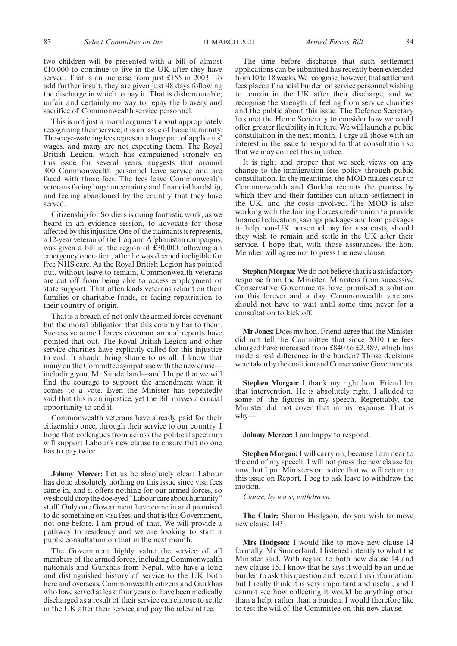two children will be presented with a bill of almost £10,000 to continue to live in the UK after they have served. That is an increase from just £155 in 2003. To add further insult, they are given just 48 days following the discharge in which to pay it. That is dishonourable, unfair and certainly no way to repay the bravery and sacrifice of Commonwealth service personnel.

This is not just a moral argument about appropriately recognising their service; it is an issue of basic humanity. Those eye-watering fees represent a huge part of applicants' wages, and many are not expecting them. The Royal British Legion, which has campaigned strongly on this issue for several years, suggests that around 300 Commonwealth personnel leave service and are faced with those fees. The fees leave Commonwealth veterans facing huge uncertainty and financial hardship, and feeling abandoned by the country that they have served.

Citizenship for Soldiers is doing fantastic work, as we heard in an evidence session, to advocate for those affected by this injustice. One of the claimants it represents, a 12-year veteran of the Iraq and Afghanistan campaigns, was given a bill in the region of £30,000 following an emergency operation, after he was deemed ineligible for free NHS care. As the Royal British Legion has pointed out, without leave to remain, Commonwealth veterans are cut off from being able to access employment or state support. That often leads veterans reliant on their families or charitable funds, or facing repatriation to their country of origin.

That is a breach of not only the armed forces covenant but the moral obligation that this country has to them. Successive armed forces covenant annual reports have pointed that out. The Royal British Legion and other service charities have explicitly called for this injustice to end. It should bring shame to us all. I know that many on the Committee sympathise with the new cause including you, Mr Sunderland—and I hope that we will find the courage to support the amendment when it comes to a vote. Even the Minister has repeatedly said that this is an injustice, yet the Bill misses a crucial opportunity to end it.

Commonwealth veterans have already paid for their citizenship once, through their service to our country. I hope that colleagues from across the political spectrum will support Labour's new clause to ensure that no one has to pay twice.

**Johnny Mercer:** Let us be absolutely clear: Labour has done absolutely nothing on this issue since visa fees came in, and it offers nothing for our armed forces, so we should drop the doe-eyed "Labour care about humanity" stuff. Only one Government have come in and promised to do something on visa fees, and that is this Government, not one before. I am proud of that. We will provide a pathway to residency and we are looking to start a public consultation on that in the next month.

The Government highly value the service of all members of the armed forces, including Commonwealth nationals and Gurkhas from Nepal, who have a long and distinguished history of service to the UK both here and overseas. Commonwealth citizens and Gurkhas who have served at least four years or have been medically discharged as a result of their service can choose to settle in the UK after their service and pay the relevant fee.

The time before discharge that such settlement applications can be submitted has recently been extended from 10 to 18 weeks. We recognise, however, that settlement fees place a financial burden on service personnel wishing to remain in the UK after their discharge, and we recognise the strength of feeling from service charities and the public about this issue. The Defence Secretary has met the Home Secretary to consider how we could offer greater flexibility in future. We will launch a public consultation in the next month. I urge all those with an

It is right and proper that we seek views on any change to the immigration fees policy through public consultation. In the meantime, the MOD makes clear to Commonwealth and Gurkha recruits the process by which they and their families can attain settlement in the UK, and the costs involved. The MOD is also working with the Joining Forces credit union to provide financial education, savings packages and loan packages to help non-UK personnel pay for visa costs, should they wish to remain and settle in the UK after their service. I hope that, with those assurances, the hon. Member will agree not to press the new clause.

interest in the issue to respond to that consultation so

that we may correct this injustice.

**Stephen Morgan:** We do not believe that is a satisfactory response from the Minister. Ministers from successive Conservative Governments have promised a solution on this forever and a day. Commonwealth veterans should not have to wait until some time never for a consultation to kick off.

**Mr Jones:** Does my hon. Friend agree that the Minister did not tell the Committee that since 2010 the fees charged have increased from £840 to £2,389, which has made a real difference in the burden? Those decisions were taken by the coalition and Conservative Governments.

**Stephen Morgan:** I thank my right hon. Friend for that intervention. He is absolutely right. I alluded to some of the figures in my speech. Regrettably, the Minister did not cover that in his response. That is why—

**Johnny Mercer:** I am happy to respond.

**Stephen Morgan:** I will carry on, because I am near to the end of my speech. I will not press the new clause for now, but I put Ministers on notice that we will return to this issue on Report. I beg to ask leave to withdraw the motion.

*Clause, by leave, withdrawn.*

**The Chair:** Sharon Hodgson, do you wish to move new clause 14?

**Mrs Hodgson:** I would like to move new clause 14 formally, Mr Sunderland. I listened intently to what the Minister said. With regard to both new clause 14 and new clause 15, I know that he says it would be an undue burden to ask this question and record this information, but I really think it is very important and useful, and I cannot see how collecting it would be anything other than a help, rather than a burden. I would therefore like to test the will of the Committee on this new clause.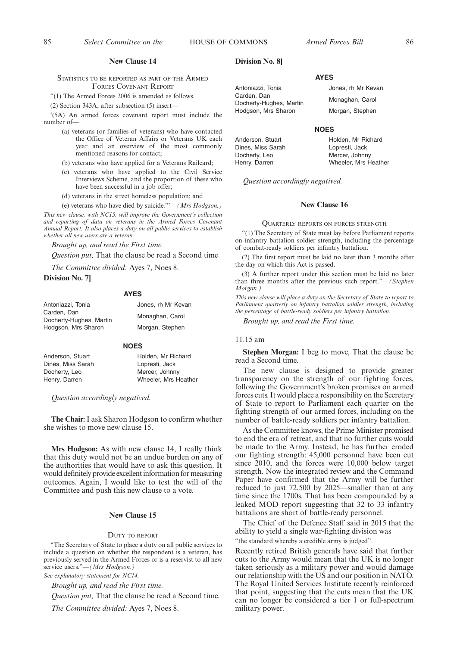#### **New Clause 14**

STATISTICS TO BE REPORTED AS PART OF THE ARMED FORCES COVENANT REPORT

"(1) The Armed Forces 2006 is amended as follows.

(2) Section 343A, after subsection (5) insert—

'(5A) An armed forces covenant report must include the number of—

- (a) veterans (or families of veterans) who have contacted the Office of Veteran Affairs or Veterans UK each year and an overview of the most commonly mentioned reasons for contact;
- (b) veterans who have applied for a Veterans Railcard;
- (c) veterans who have applied to the Civil Service Interviews Scheme, and the proportion of these who have been successful in a job offer;
- (d) veterans in the street homeless population; and
- (e) veterans who have died by suicide.'"—*(Mrs Hodgson.)*

*This new clause, with NC15, will improve the Government's collection and reporting of data on veterans in the Armed Forces Covenant Annual Report. It also places a duty on all public services to establish whether all new users are a veteran.*

*Brought up, and read the First time.*

*Question put,* That the clause be read a Second time

*The Committee divided:* Ayes 7, Noes 8.

**Division No. 7]**

#### **AYES**

| Antoniazzi. Tonia                      | Jones, rh Mr Kevan |
|----------------------------------------|--------------------|
| Carden. Dan<br>Docherty-Hughes, Martin | Monaghan, Carol    |
| Hodgson, Mrs Sharon                    | Morgan, Stephen    |

#### **NOES**

| Holden, Mr Richard   |
|----------------------|
| Lopresti, Jack       |
| Mercer, Johnny       |
| Wheeler, Mrs Heather |
|                      |

*Question accordingly negatived.*

**The Chair:** I ask Sharon Hodgson to confirm whether she wishes to move new clause 15.

**Mrs Hodgson:** As with new clause 14, I really think that this duty would not be an undue burden on any of the authorities that would have to ask this question. It would definitely provide excellent information for measuring outcomes. Again, I would like to test the will of the Committee and push this new clause to a vote.

## **New Clause 15**

#### DUTY TO REPORT

"The Secretary of State to place a duty on all public services to include a question on whether the respondent is a veteran, has previously served in the Armed Forces or is a reservist to all new service users."—*(Mrs Hodgson.)*

*See explanatory statement for NC14.*

*Brought up, and read the First time.*

*Question put,* That the clause be read a Second time.

*The Committee divided:* Ayes 7, Noes 8.

#### **Division No. 8]**

Anderson, Stuart Dines, Miss Sarah Docherty, Leo Henry, Darren

Antoniazzi, Tonia Carden, Dan Docherty-Hughes, Martin Hodgson, Mrs Sharon

#### **NOES**

**AYES**

Holden, Mr Richard Lopresti, Jack Mercer, Johnny Wheeler, Mrs Heather

Jones, rh Mr Kevan Monaghan, Carol Morgan, Stephen

*Question accordingly negatived.*

#### **New Clause 16**

#### QUARTERLY REPORTS ON FORCES STRENGTH

"(1) The Secretary of State must lay before Parliament reports on infantry battalion soldier strength, including the percentage of combat-ready soldiers per infantry battalion.

(2) The first report must be laid no later than 3 months after the day on which this Act is passed.

(3) A further report under this section must be laid no later than three months after the previous such report."—*(Stephen Morgan.)*

*This new clause will place a duty on the Secretary of State to report to Parliament quarterly on infantry battalion soldier strength, including the percentage of battle-ready soldiers per infantry battalion.*

*Brought up, and read the First time.*

#### 11.15 am

**Stephen Morgan:** I beg to move, That the clause be read a Second time.

The new clause is designed to provide greater transparency on the strength of our fighting forces, following the Government's broken promises on armed forces cuts. It would place a responsibility on the Secretary of State to report to Parliament each quarter on the fighting strength of our armed forces, including on the number of battle-ready soldiers per infantry battalion.

As the Committee knows, the Prime Minister promised to end the era of retreat, and that no further cuts would be made to the Army. Instead, he has further eroded our fighting strength: 45,000 personnel have been cut since 2010, and the forces were 10,000 below target strength. Now the integrated review and the Command Paper have confirmed that the Army will be further reduced to just 72,500 by 2025—smaller than at any time since the 1700s. That has been compounded by a leaked MOD report suggesting that 32 to 33 infantry battalions are short of battle-ready personnel.

The Chief of the Defence Staff said in 2015 that the ability to yield a single war-fighting division was "the standard whereby a credible army is judged".

Recently retired British generals have said that further cuts to the Army would mean that the UK is no longer taken seriously as a military power and would damage our relationship with the US and our position in NATO. The Royal United Services Institute recently reinforced that point, suggesting that the cuts mean that the UK can no longer be considered a tier 1 or full-spectrum military power.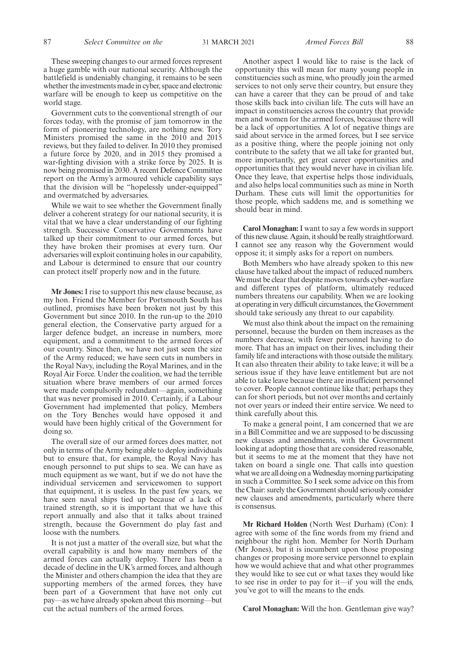These sweeping changes to our armed forces represent a huge gamble with our national security. Although the battlefield is undeniably changing, it remains to be seen whether the investments made in cyber, space and electronic warfare will be enough to keep us competitive on the world stage.

Government cuts to the conventional strength of our forces today, with the promise of jam tomorrow in the form of pioneering technology, are nothing new. Tory Ministers promised the same in the 2010 and 2015 reviews, but they failed to deliver. In 2010 they promised a future force by 2020, and in 2015 they promised a war-fighting division with a strike force by 2025. It is now being promised in 2030. A recent Defence Committee report on the Army's armoured vehicle capability says that the division will be "hopelessly under-equipped" and overmatched by adversaries.

While we wait to see whether the Government finally deliver a coherent strategy for our national security, it is vital that we have a clear understanding of our fighting strength. Successive Conservative Governments have talked up their commitment to our armed forces, but they have broken their promises at every turn. Our adversaries will exploit continuing holes in our capability, and Labour is determined to ensure that our country can protect itself properly now and in the future.

**Mr Jones:** I rise to support this new clause because, as my hon. Friend the Member for Portsmouth South has outlined, promises have been broken not just by this Government but since 2010. In the run-up to the 2010 general election, the Conservative party argued for a larger defence budget, an increase in numbers, more equipment, and a commitment to the armed forces of our country. Since then, we have not just seen the size of the Army reduced; we have seen cuts in numbers in the Royal Navy, including the Royal Marines, and in the Royal Air Force. Under the coalition, we had the terrible situation where brave members of our armed forces were made compulsorily redundant—again, something that was never promised in 2010. Certainly, if a Labour Government had implemented that policy, Members on the Tory Benches would have opposed it and would have been highly critical of the Government for doing so.

The overall size of our armed forces does matter, not only in terms of the Army being able to deploy individuals but to ensure that, for example, the Royal Navy has enough personnel to put ships to sea. We can have as much equipment as we want, but if we do not have the individual servicemen and servicewomen to support that equipment, it is useless. In the past few years, we have seen naval ships tied up because of a lack of trained strength, so it is important that we have this report annually and also that it talks about trained strength, because the Government do play fast and loose with the numbers.

It is not just a matter of the overall size, but what the overall capability is and how many members of the armed forces can actually deploy. There has been a decade of decline in the UK's armed forces, and although the Minister and others champion the idea that they are supporting members of the armed forces, they have been part of a Government that have not only cut pay—as we have already spoken about this morning—but cut the actual numbers of the armed forces.

Another aspect I would like to raise is the lack of opportunity this will mean for many young people in constituencies such as mine, who proudly join the armed services to not only serve their country, but ensure they can have a career that they can be proud of and take those skills back into civilian life. The cuts will have an impact in constituencies across the country that provide men and women for the armed forces, because there will be a lack of opportunities. A lot of negative things are said about service in the armed forces, but I see service as a positive thing, where the people joining not only contribute to the safety that we all take for granted but, more importantly, get great career opportunities and opportunities that they would never have in civilian life. Once they leave, that expertise helps those individuals, and also helps local communities such as mine in North Durham. These cuts will limit the opportunities for those people, which saddens me, and is something we should bear in mind.

**Carol Monaghan:** I want to say a few words in support of this new clause. Again, it should be really straightforward. I cannot see any reason why the Government would oppose it; it simply asks for a report on numbers.

Both Members who have already spoken to this new clause have talked about the impact of reduced numbers. We must be clear that despite moves towards cyber-warfare and different types of platform, ultimately reduced numbers threatens our capability. When we are looking at operating in very difficult circumstances, the Government should take seriously any threat to our capability.

We must also think about the impact on the remaining personnel, because the burden on them increases as the numbers decrease, with fewer personnel having to do more. That has an impact on their lives, including their family life and interactions with those outside the military. It can also threaten their ability to take leave; it will be a serious issue if they have leave entitlement but are not able to take leave because there are insufficient personnel to cover. People cannot continue like that; perhaps they can for short periods, but not over months and certainly not over years or indeed their entire service. We need to think carefully about this.

To make a general point, I am concerned that we are in a Bill Committee and we are supposed to be discussing new clauses and amendments, with the Government looking at adopting those that are considered reasonable, but it seems to me at the moment that they have not taken on board a single one. That calls into question what we are all doing on a Wednesday morning participating in such a Committee. So I seek some advice on this from the Chair: surely the Government should seriously consider new clauses and amendments, particularly where there is consensus.

**Mr Richard Holden** (North West Durham) (Con): I agree with some of the fine words from my friend and neighbour the right hon. Member for North Durham (Mr Jones), but it is incumbent upon those proposing changes or proposing more service personnel to explain how we would achieve that and what other programmes they would like to see cut or what taxes they would like to see rise in order to pay for it—if you will the ends, you've got to will the means to the ends.

**Carol Monaghan:** Will the hon. Gentleman give way?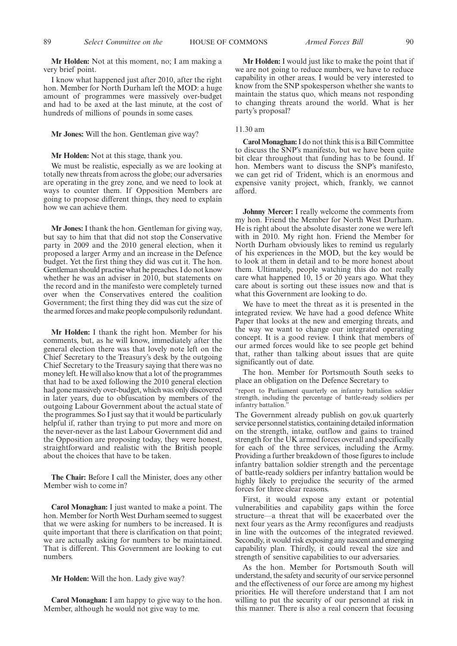**Mr Holden:** Not at this moment, no; I am making a very brief point.

I know what happened just after 2010, after the right hon. Member for North Durham left the MOD: a huge amount of programmes were massively over-budget and had to be axed at the last minute, at the cost of hundreds of millions of pounds in some cases.

#### **Mr Jones:** Will the hon. Gentleman give way?

#### **Mr Holden:** Not at this stage, thank you.

We must be realistic, especially as we are looking at totally new threats from across the globe; our adversaries are operating in the grey zone, and we need to look at ways to counter them. If Opposition Members are going to propose different things, they need to explain how we can achieve them.

**Mr Jones:** I thank the hon. Gentleman for giving way, but say to him that that did not stop the Conservative party in 2009 and the 2010 general election, when it proposed a larger Army and an increase in the Defence budget. Yet the first thing they did was cut it. The hon. Gentleman should practise what he preaches. I do not know whether he was an adviser in 2010, but statements on the record and in the manifesto were completely turned over when the Conservatives entered the coalition Government; the first thing they did was cut the size of the armed forces and make people compulsorily redundant.

**Mr Holden:** I thank the right hon. Member for his comments, but, as he will know, immediately after the general election there was that lovely note left on the Chief Secretary to the Treasury's desk by the outgoing Chief Secretary to the Treasury saying that there was no money left. He will also know that a lot of the programmes that had to be axed following the 2010 general election had gone massively over-budget, which was only discovered in later years, due to obfuscation by members of the outgoing Labour Government about the actual state of the programmes. So I just say that it would be particularly helpful if, rather than trying to put more and more on the never-never as the last Labour Government did and the Opposition are proposing today, they were honest, straightforward and realistic with the British people about the choices that have to be taken.

**The Chair:** Before I call the Minister, does any other Member wish to come in?

**Carol Monaghan:** I just wanted to make a point. The hon. Member for North West Durham seemed to suggest that we were asking for numbers to be increased. It is quite important that there is clarification on that point; we are actually asking for numbers to be maintained. That is different. This Government are looking to cut numbers.

**Mr Holden:** Will the hon. Lady give way?

**Carol Monaghan:** I am happy to give way to the hon. Member, although he would not give way to me.

**Mr Holden:** I would just like to make the point that if we are not going to reduce numbers, we have to reduce capability in other areas. I would be very interested to know from the SNP spokesperson whether she wants to maintain the status quo, which means not responding to changing threats around the world. What is her party's proposal?

# 11.30 am

**Carol Monaghan:**I do not think this is a Bill Committee to discuss the SNP's manifesto, but we have been quite bit clear throughout that funding has to be found. If hon. Members want to discuss the SNP's manifesto, we can get rid of Trident, which is an enormous and expensive vanity project, which, frankly, we cannot afford.

**Johnny Mercer:** I really welcome the comments from my hon. Friend the Member for North West Durham. He is right about the absolute disaster zone we were left with in 2010. My right hon. Friend the Member for North Durham obviously likes to remind us regularly of his experiences in the MOD, but the key would be to look at them in detail and to be more honest about them. Ultimately, people watching this do not really care what happened  $10$ ,  $15$  or  $20$  years ago. What they care about is sorting out these issues now and that is what this Government are looking to do.

We have to meet the threat as it is presented in the integrated review. We have had a good defence White Paper that looks at the new and emerging threats, and the way we want to change our integrated operating concept. It is a good review. I think that members of our armed forces would like to see people get behind that, rather than talking about issues that are quite significantly out of date.

The hon. Member for Portsmouth South seeks to place an obligation on the Defence Secretary to

"report to Parliament quarterly on infantry battalion soldier strength, including the percentage of battle-ready soldiers per infantry battalion."

The Government already publish on gov.uk quarterly service personnel statistics, containing detailed information on the strength, intake, outflow and gains to trained strength for the UK armed forces overall and specifically for each of the three services, including the Army. Providing a further breakdown of those figures to include infantry battalion soldier strength and the percentage of battle-ready soldiers per infantry battalion would be highly likely to prejudice the security of the armed forces for three clear reasons.

First, it would expose any extant or potential vulnerabilities and capability gaps within the force structure—a threat that will be exacerbated over the next four years as the Army reconfigures and readjusts in line with the outcomes of the integrated reviewed. Secondly, it would risk exposing any nascent and emerging capability plan. Thirdly, it could reveal the size and strength of sensitive capabilities to our adversaries.

As the hon. Member for Portsmouth South will understand, the safety and security of our service personnel and the effectiveness of our force are among my highest priorities. He will therefore understand that I am not willing to put the security of our personnel at risk in this manner. There is also a real concern that focusing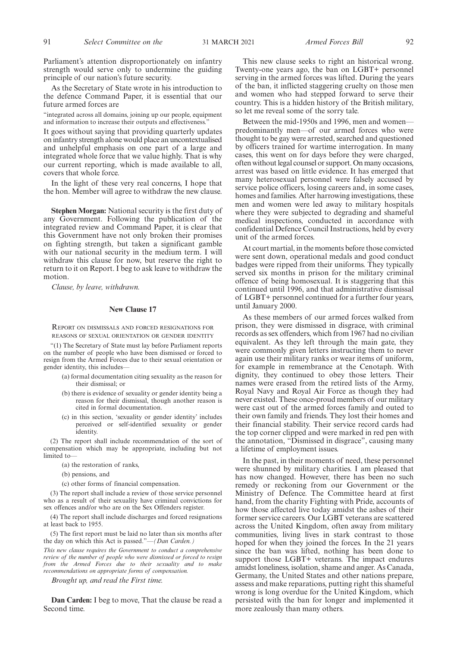Parliament's attention disproportionately on infantry strength would serve only to undermine the guiding principle of our nation's future security.

As the Secretary of State wrote in his introduction to the defence Command Paper, it is essential that our future armed forces are

"integrated across all domains, joining up our people, equipment and information to increase their outputs and effectiveness.'

It goes without saying that providing quarterly updates on infantry strength alone would place an uncontextualised and unhelpful emphasis on one part of a large and integrated whole force that we value highly. That is why our current reporting, which is made available to all, covers that whole force.

In the light of these very real concerns, I hope that the hon. Member will agree to withdraw the new clause.

**Stephen Morgan:** National security is the first duty of any Government. Following the publication of the integrated review and Command Paper, it is clear that this Government have not only broken their promises on fighting strength, but taken a significant gamble with our national security in the medium term. I will withdraw this clause for now, but reserve the right to return to it on Report. I beg to ask leave to withdraw the motion.

*Clause, by leave, withdrawn.*

#### **New Clause 17**

REPORT ON DISMISSALS AND FORCED RESIGNATIONS FOR REASONS OF SEXUAL ORIENTATION OR GENDER IDENTITY

"(1) The Secretary of State must lay before Parliament reports on the number of people who have been dismissed or forced to resign from the Armed Forces due to their sexual orientation or gender identity, this includes—

- (a) formal documentation citing sexuality as the reason for their dismissal; or
- (b) there is evidence of sexuality or gender identity being a reason for their dismissal, though another reason is cited in formal documentation.
- (c) in this section, 'sexuality or gender identity' includes perceived or self-identified sexuality or gender identity.

(2) The report shall include recommendation of the sort of compensation which may be appropriate, including but not limited to—

- (a) the restoration of ranks,
- (b) pensions, and
- (c) other forms of financial compensation.

(3) The report shall include a review of those service personnel who as a result of their sexuality have criminal convictions for sex offences and/or who are on the Sex Offenders register.

(4) The report shall include discharges and forced resignations at least back to 1955.

(5) The first report must be laid no later than six months after the day on which this Act is passed."—*(Dan Carden.)*

*This new clause requires the Government to conduct a comprehensive review of the number of people who were dismissed or forced to resign from the Armed Forces due to their sexuality and to make recommendations on appropriate forms of compensation.*

*Brought up, and read the First time.*

**Dan Carden:** I beg to move, That the clause be read a Second time.

This new clause seeks to right an historical wrong. Twenty-one years ago, the ban on LGBT+ personnel serving in the armed forces was lifted. During the years of the ban, it inflicted staggering cruelty on those men and women who had stepped forward to serve their country. This is a hidden history of the British military, so let me reveal some of the sorry tale.

Between the mid-1950s and 1996, men and women predominantly men—of our armed forces who were thought to be gay were arrested, searched and questioned by officers trained for wartime interrogation. In many cases, this went on for days before they were charged, often without legal counsel or support. On many occasions, arrest was based on little evidence. It has emerged that many heterosexual personnel were falsely accused by service police officers, losing careers and, in some cases, homes and families. After harrowing investigations, these men and women were led away to military hospitals where they were subjected to degrading and shameful medical inspections, conducted in accordance with confidential Defence Council Instructions, held by every unit of the armed forces.

At court martial, in the moments before those convicted were sent down, operational medals and good conduct badges were ripped from their uniforms. They typically served six months in prison for the military criminal offence of being homosexual. It is staggering that this continued until 1996, and that administrative dismissal of LGBT+ personnel continued for a further four years, until January 2000.

As these members of our armed forces walked from prison, they were dismissed in disgrace, with criminal records as sex offenders, which from 1967 had no civilian equivalent. As they left through the main gate, they were commonly given letters instructing them to never again use their military ranks or wear items of uniform, for example in remembrance at the Cenotaph. With dignity, they continued to obey those letters. Their names were erased from the retired lists of the Army, Royal Navy and Royal Air Force as though they had never existed. These once-proud members of our military were cast out of the armed forces family and outed to their own family and friends. They lost their homes and their financial stability. Their service record cards had the top corner clipped and were marked in red pen with the annotation, "Dismissed in disgrace", causing many a lifetime of employment issues.

In the past, in their moments of need, these personnel were shunned by military charities. I am pleased that has now changed. However, there has been no such remedy or reckoning from our Government or the Ministry of Defence. The Committee heard at first hand, from the charity Fighting with Pride, accounts of how those affected live today amidst the ashes of their former service careers. Our LGBT veterans are scattered across the United Kingdom, often away from military communities, living lives in stark contrast to those hoped for when they joined the forces. In the 21 years since the ban was lifted, nothing has been done to support those LGBT+ veterans. The impact endures amidst loneliness, isolation, shame and anger. As Canada, Germany, the United States and other nations prepare, assess and make reparations, putting right this shameful wrong is long overdue for the United Kingdom, which persisted with the ban for longer and implemented it more zealously than many others.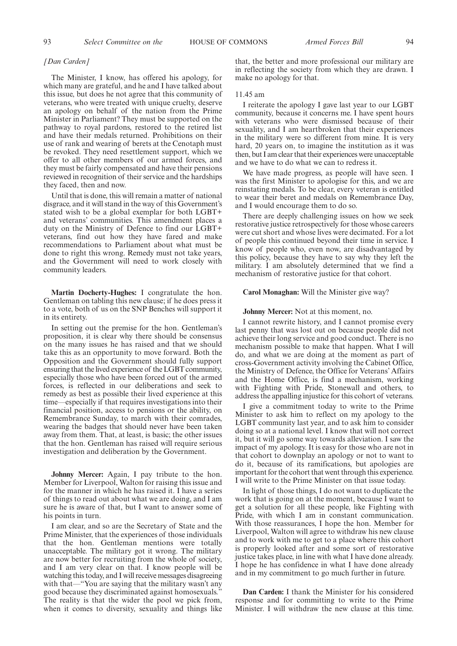#### *[Dan Carden]*

The Minister, I know, has offered his apology, for which many are grateful, and he and I have talked about this issue, but does he not agree that this community of veterans, who were treated with unique cruelty, deserve an apology on behalf of the nation from the Prime Minister in Parliament? They must be supported on the pathway to royal pardons, restored to the retired list and have their medals returned. Prohibitions on their use of rank and wearing of berets at the Cenotaph must be revoked. They need resettlement support, which we offer to all other members of our armed forces, and they must be fairly compensated and have their pensions reviewed in recognition of their service and the hardships they faced, then and now.

Until that is done, this will remain a matter of national disgrace, and it will stand in the way of this Government's stated wish to be a global exemplar for both LGBT+ and veterans' communities. This amendment places a duty on the Ministry of Defence to find our LGBT+ veterans, find out how they have fared and make recommendations to Parliament about what must be done to right this wrong. Remedy must not take years, and the Government will need to work closely with community leaders.

**Martin Docherty-Hughes:** I congratulate the hon. Gentleman on tabling this new clause; if he does press it to a vote, both of us on the SNP Benches will support it in its entirety.

In setting out the premise for the hon. Gentleman's proposition, it is clear why there should be consensus on the many issues he has raised and that we should take this as an opportunity to move forward. Both the Opposition and the Government should fully support ensuring that the lived experience of the LGBT community, especially those who have been forced out of the armed forces, is reflected in our deliberations and seek to remedy as best as possible their lived experience at this time—especially if that requires investigations into their financial position, access to pensions or the ability, on Remembrance Sunday, to march with their comrades, wearing the badges that should never have been taken away from them. That, at least, is basic; the other issues that the hon. Gentleman has raised will require serious investigation and deliberation by the Government.

**Johnny Mercer:** Again, I pay tribute to the hon. Member for Liverpool, Walton for raising this issue and for the manner in which he has raised it. I have a series of things to read out about what we are doing, and I am sure he is aware of that, but I want to answer some of his points in turn.

I am clear, and so are the Secretary of State and the Prime Minister, that the experiences of those individuals that the hon. Gentleman mentions were totally unacceptable. The military got it wrong. The military are now better for recruiting from the whole of society, and I am very clear on that. I know people will be watching this today, and I will receive messages disagreeing with that—"You are saying that the military wasn't any good because they discriminated against homosexuals." The reality is that the wider the pool we pick from, when it comes to diversity, sexuality and things like

that, the better and more professional our military are in reflecting the society from which they are drawn. I make no apology for that.

#### 11.45 am

I reiterate the apology I gave last year to our LGBT community, because it concerns me. I have spent hours with veterans who were dismissed because of their sexuality, and I am heartbroken that their experiences in the military were so different from mine. It is very hard, 20 years on, to imagine the institution as it was then, but I am clear that their experiences were unacceptable and we have to do what we can to redress it.

We have made progress, as people will have seen. I was the first Minister to apologise for this, and we are reinstating medals. To be clear, every veteran is entitled to wear their beret and medals on Remembrance Day, and I would encourage them to do so.

There are deeply challenging issues on how we seek restorative justice retrospectively for those whose careers were cut short and whose lives were decimated. For a lot of people this continued beyond their time in service. I know of people who, even now, are disadvantaged by this policy, because they have to say why they left the military. I am absolutely determined that we find a mechanism of restorative justice for that cohort.

#### **Carol Monaghan:** Will the Minister give way?

#### **Johnny Mercer:** Not at this moment, no.

I cannot rewrite history, and I cannot promise every last penny that was lost out on because people did not achieve their long service and good conduct. There is no mechanism possible to make that happen. What I will do, and what we are doing at the moment as part of cross-Government activity involving the Cabinet Office, the Ministry of Defence, the Office for Veterans' Affairs and the Home Office, is find a mechanism, working with Fighting with Pride, Stonewall and others, to address the appalling injustice for this cohort of veterans.

I give a commitment today to write to the Prime Minister to ask him to reflect on my apology to the LGBT community last year, and to ask him to consider doing so at a national level. I know that will not correct it, but it will go some way towards alleviation. I saw the impact of my apology. It is easy for those who are not in that cohort to downplay an apology or not to want to do it, because of its ramifications, but apologies are important for the cohort that went through this experience. I will write to the Prime Minister on that issue today.

In light of those things, I do not want to duplicate the work that is going on at the moment, because I want to get a solution for all these people, like Fighting with Pride, with which I am in constant communication. With those reassurances, I hope the hon. Member for Liverpool, Walton will agree to withdraw his new clause and to work with me to get to a place where this cohort is properly looked after and some sort of restorative justice takes place, in line with what I have done already. I hope he has confidence in what I have done already and in my commitment to go much further in future.

**Dan Carden:** I thank the Minister for his considered response and for committing to write to the Prime Minister. I will withdraw the new clause at this time.